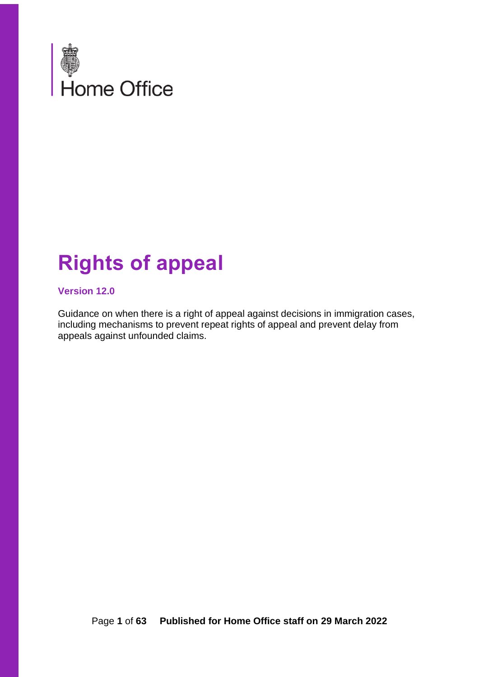

# **Rights of appeal**

#### **Version 12.0**

Guidance on when there is a right of appeal against decisions in immigration cases, including mechanisms to prevent repeat rights of appeal and prevent delay from appeals against unfounded claims.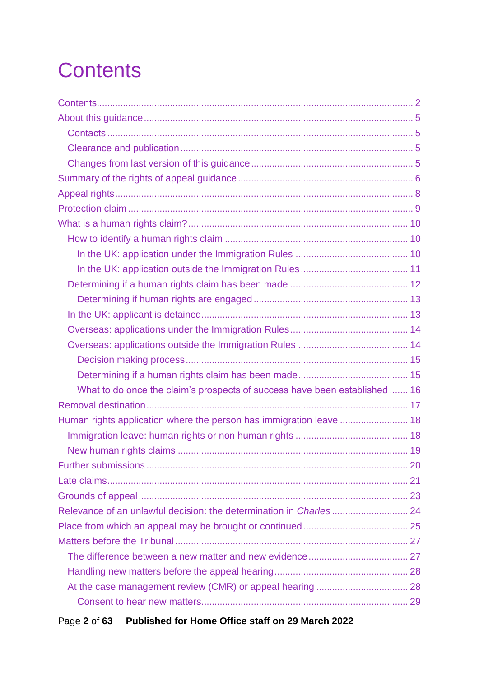# <span id="page-1-0"></span>**Contents**

| What to do once the claim's prospects of success have been established  16 |  |
|----------------------------------------------------------------------------|--|
|                                                                            |  |
| Human rights application where the person has immigration leave  18        |  |
|                                                                            |  |
|                                                                            |  |
|                                                                            |  |
|                                                                            |  |
|                                                                            |  |
|                                                                            |  |
|                                                                            |  |
|                                                                            |  |
|                                                                            |  |
|                                                                            |  |
|                                                                            |  |
|                                                                            |  |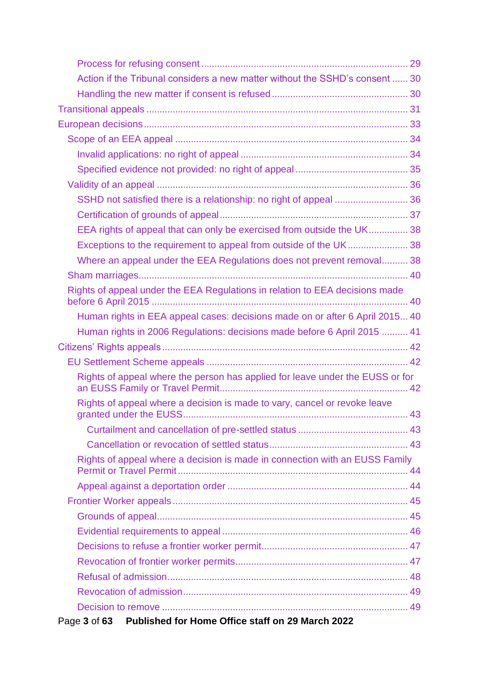| Action if the Tribunal considers a new matter without the SSHD's consent  30  |  |
|-------------------------------------------------------------------------------|--|
|                                                                               |  |
|                                                                               |  |
|                                                                               |  |
|                                                                               |  |
|                                                                               |  |
|                                                                               |  |
|                                                                               |  |
| SSHD not satisfied there is a relationship: no right of appeal  36            |  |
|                                                                               |  |
| EEA rights of appeal that can only be exercised from outside the UK 38        |  |
|                                                                               |  |
| Where an appeal under the EEA Regulations does not prevent removal 38         |  |
|                                                                               |  |
| Rights of appeal under the EEA Regulations in relation to EEA decisions made  |  |
| Human rights in EEA appeal cases: decisions made on or after 6 April 2015 40  |  |
| Human rights in 2006 Regulations: decisions made before 6 April 2015  41      |  |
|                                                                               |  |
|                                                                               |  |
| Rights of appeal where the person has applied for leave under the EUSS or for |  |
| Rights of appeal where a decision is made to vary, cancel or revoke leave     |  |
|                                                                               |  |
|                                                                               |  |
| Rights of appeal where a decision is made in connection with an EUSS Family   |  |
|                                                                               |  |
|                                                                               |  |
|                                                                               |  |
|                                                                               |  |
|                                                                               |  |
|                                                                               |  |
|                                                                               |  |
|                                                                               |  |
|                                                                               |  |
| Published for Home Office staff on 29 March 2022<br>Page 3 of 63              |  |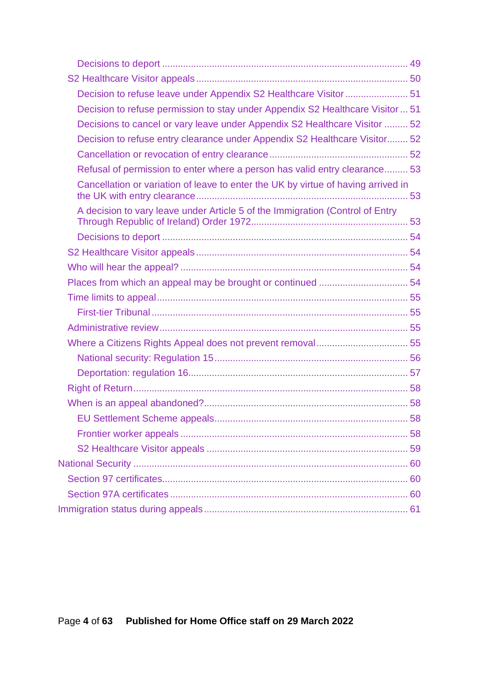| Decision to refuse leave under Appendix S2 Healthcare Visitor 51                  |  |
|-----------------------------------------------------------------------------------|--|
| Decision to refuse permission to stay under Appendix S2 Healthcare Visitor  51    |  |
| Decisions to cancel or vary leave under Appendix S2 Healthcare Visitor  52        |  |
| Decision to refuse entry clearance under Appendix S2 Healthcare Visitor 52        |  |
|                                                                                   |  |
| Refusal of permission to enter where a person has valid entry clearance 53        |  |
| Cancellation or variation of leave to enter the UK by virtue of having arrived in |  |
| A decision to vary leave under Article 5 of the Immigration (Control of Entry     |  |
|                                                                                   |  |
|                                                                                   |  |
|                                                                                   |  |
| Places from which an appeal may be brought or continued  54                       |  |
|                                                                                   |  |
|                                                                                   |  |
|                                                                                   |  |
| Where a Citizens Rights Appeal does not prevent removal 55                        |  |
|                                                                                   |  |
|                                                                                   |  |
|                                                                                   |  |
|                                                                                   |  |
|                                                                                   |  |
|                                                                                   |  |
|                                                                                   |  |
|                                                                                   |  |
|                                                                                   |  |
|                                                                                   |  |
|                                                                                   |  |
|                                                                                   |  |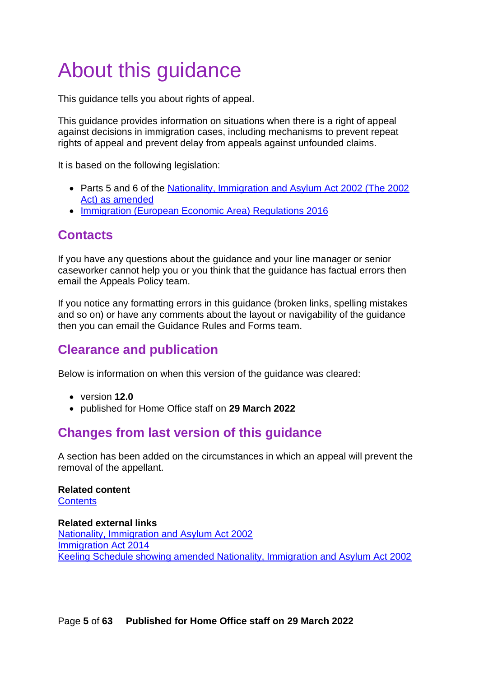# <span id="page-4-0"></span>About this guidance

This guidance tells you about rights of appeal.

This guidance provides information on situations when there is a right of appeal against decisions in immigration cases, including mechanisms to prevent repeat rights of appeal and prevent delay from appeals against unfounded claims.

It is based on the following legislation:

- Parts 5 and 6 of the [Nationality, Immigration and Asylum Act 2002 \(The 2002](http://www.legislation.gov.uk/ukpga/2002/41/contents)  [Act\) as amended](http://www.legislation.gov.uk/ukpga/2002/41/contents)
- [Immigration \(European Economic Area\) Regulations 2016](http://www.legislation.gov.uk/uksi/2016/1052/contents/made)

# <span id="page-4-1"></span>**Contacts**

If you have any questions about the guidance and your line manager or senior caseworker cannot help you or you think that the guidance has factual errors then email the Appeals Policy team.

If you notice any formatting errors in this guidance (broken links, spelling mistakes and so on) or have any comments about the layout or navigability of the guidance then you can email the Guidance Rules and Forms team.

# <span id="page-4-2"></span>**Clearance and publication**

Below is information on when this version of the guidance was cleared:

- version **12.0**
- published for Home Office staff on **29 March 2022**

# <span id="page-4-3"></span>**Changes from last version of this guidance**

A section has been added on the circumstances in which an appeal will prevent the removal of the appellant.

### **Related content**

**[Contents](#page-1-0)** 

**Related external links** [Nationality, Immigration and Asylum Act 2002](http://www.legislation.gov.uk/ukpga/2002/41/contents) [Immigration Act 2014](http://www.legislation.gov.uk/ukpga/2014/22/contents) [Keeling Schedule showing amended Nationality, Immigration and Asylum Act 2002](https://www.gov.uk/government/publications/appeals)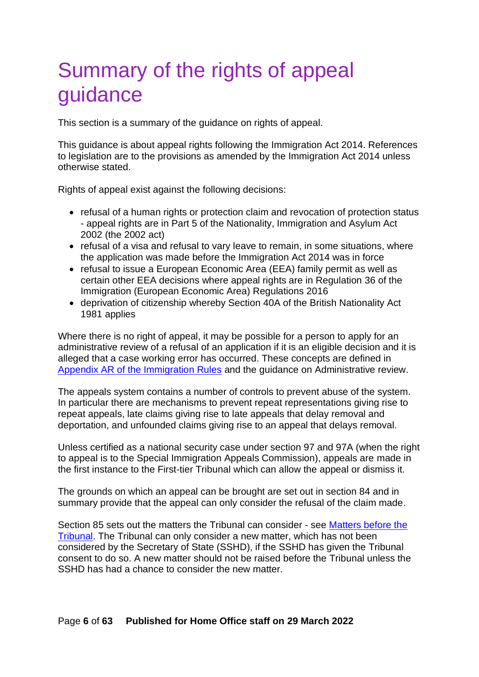# <span id="page-5-0"></span>Summary of the rights of appeal guidance

This section is a summary of the guidance on rights of appeal.

This guidance is about appeal rights following the Immigration Act 2014. References to legislation are to the provisions as amended by the Immigration Act 2014 unless otherwise stated.

Rights of appeal exist against the following decisions:

- refusal of a human rights or protection claim and revocation of protection status - appeal rights are in Part 5 of the Nationality, Immigration and Asylum Act 2002 (the 2002 act)
- refusal of a visa and refusal to vary leave to remain, in some situations, where the application was made before the Immigration Act 2014 was in force
- refusal to issue a European Economic Area (EEA) family permit as well as certain other EEA decisions where appeal rights are in Regulation 36 of the Immigration (European Economic Area) Regulations 2016
- deprivation of citizenship whereby Section 40A of the British Nationality Act 1981 applies

Where there is no right of appeal, it may be possible for a person to apply for an administrative review of a refusal of an application if it is an eligible decision and it is alleged that a case working error has occurred. These concepts are defined in [Appendix AR of the Immigration Rules](https://www.gov.uk/guidance/immigration-rules/immigration-rules-appendix-ar-administrative-review) and the guidance on Administrative review.

The appeals system contains a number of controls to prevent abuse of the system. In particular there are mechanisms to prevent repeat representations giving rise to repeat appeals, late claims giving rise to late appeals that delay removal and deportation, and unfounded claims giving rise to an appeal that delays removal.

Unless certified as a national security case under section 97 and 97A (when the right to appeal is to the Special Immigration Appeals Commission), appeals are made in the first instance to the First-tier Tribunal which can allow the appeal or dismiss it.

The grounds on which an appeal can be brought are set out in section 84 and in summary provide that the appeal can only consider the refusal of the claim made.

Section 85 sets out the matters the Tribunal can consider - see [Matters before the](#page-26-0)  [Tribunal.](#page-26-0) The Tribunal can only consider a new matter, which has not been considered by the Secretary of State (SSHD), if the SSHD has given the Tribunal consent to do so. A new matter should not be raised before the Tribunal unless the SSHD has had a chance to consider the new matter.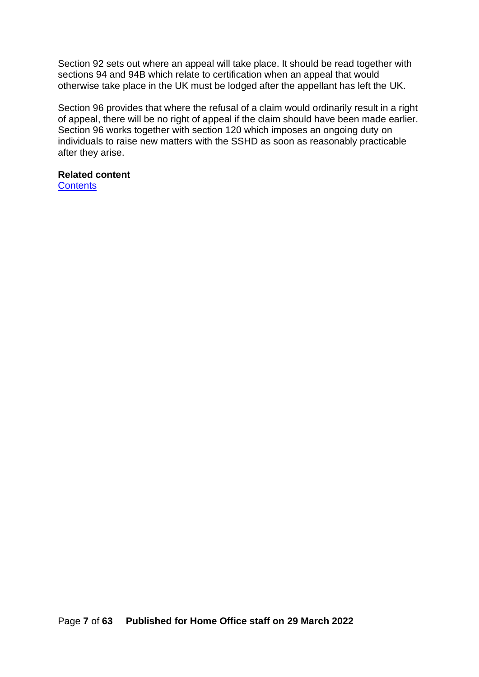Section 92 sets out where an appeal will take place. It should be read together with sections 94 and 94B which relate to certification when an appeal that would otherwise take place in the UK must be lodged after the appellant has left the UK.

Section 96 provides that where the refusal of a claim would ordinarily result in a right of appeal, there will be no right of appeal if the claim should have been made earlier. Section 96 works together with section 120 which imposes an ongoing duty on individuals to raise new matters with the SSHD as soon as reasonably practicable after they arise.

# **Related content**

**[Contents](#page-1-0)**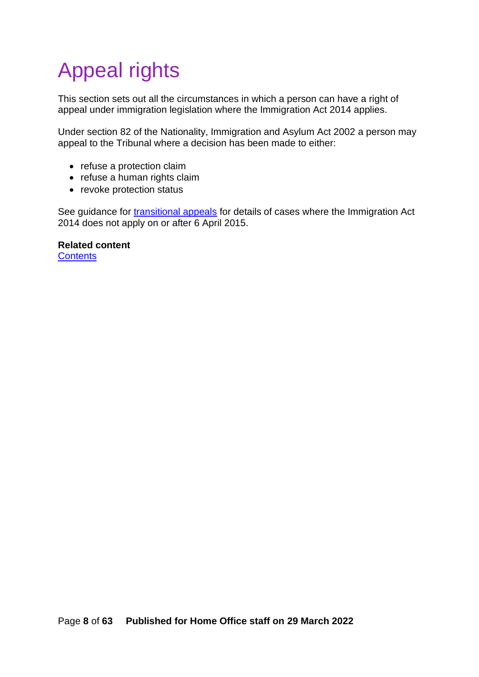# <span id="page-7-0"></span>Appeal rights

This section sets out all the circumstances in which a person can have a right of appeal under immigration legislation where the Immigration Act 2014 applies.

Under section 82 of the Nationality, Immigration and Asylum Act 2002 a person may appeal to the Tribunal where a decision has been made to either:

- refuse a protection claim
- refuse a human rights claim
- revoke protection status

See guidance for [transitional appeals](#page-32-0) for details of cases where the Immigration Act 2014 does not apply on or after 6 April 2015.

**Related content [Contents](#page-1-0)**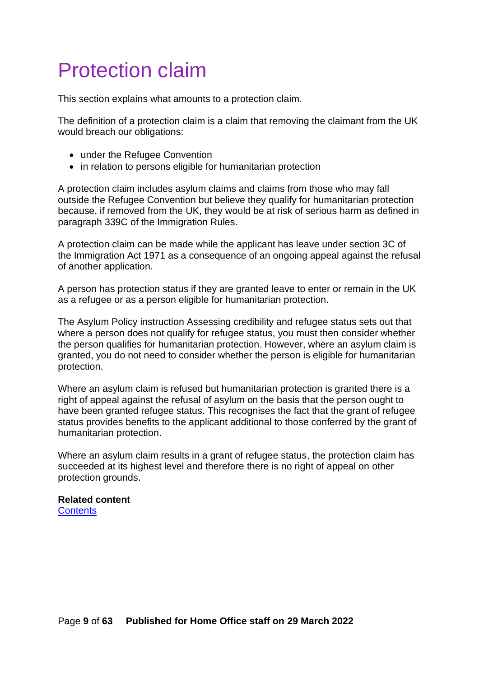# <span id="page-8-0"></span>Protection claim

This section explains what amounts to a protection claim.

The definition of a protection claim is a claim that removing the claimant from the UK would breach our obligations:

- under the Refugee Convention
- in relation to persons eligible for humanitarian protection

A protection claim includes asylum claims and claims from those who may fall outside the Refugee Convention but believe they qualify for humanitarian protection because, if removed from the UK, they would be at risk of serious harm as defined in paragraph 339C of the Immigration Rules.

A protection claim can be made while the applicant has leave under section 3C of the Immigration Act 1971 as a consequence of an ongoing appeal against the refusal of another application.

A person has protection status if they are granted leave to enter or remain in the UK as a refugee or as a person eligible for humanitarian protection.

The Asylum Policy instruction Assessing credibility and refugee status sets out that where a person does not qualify for refugee status, you must then consider whether the person qualifies for humanitarian protection. However, where an asylum claim is granted, you do not need to consider whether the person is eligible for humanitarian protection.

Where an asylum claim is refused but humanitarian protection is granted there is a right of appeal against the refusal of asylum on the basis that the person ought to have been granted refugee status. This recognises the fact that the grant of refugee status provides benefits to the applicant additional to those conferred by the grant of humanitarian protection.

Where an asylum claim results in a grant of refugee status, the protection claim has succeeded at its highest level and therefore there is no right of appeal on other protection grounds.

# **Related content**

**[Contents](#page-1-0)**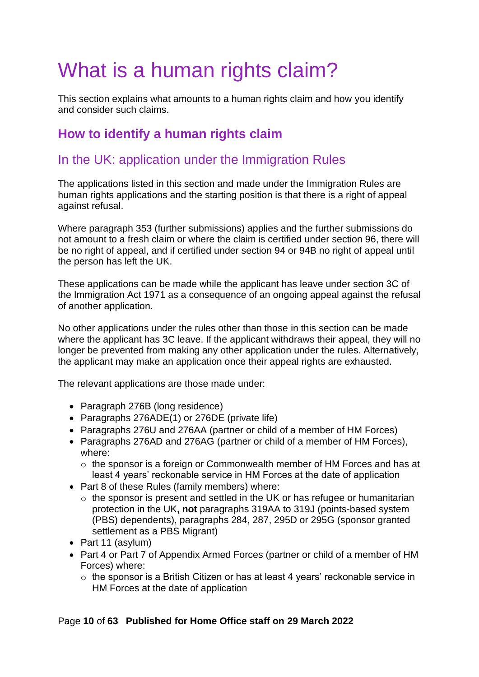# <span id="page-9-0"></span>What is a human rights claim?

This section explains what amounts to a human rights claim and how you identify and consider such claims.

# <span id="page-9-1"></span>**How to identify a human rights claim**

# <span id="page-9-2"></span>In the UK: application under the Immigration Rules

The applications listed in this section and made under the Immigration Rules are human rights applications and the starting position is that there is a right of appeal against refusal.

Where paragraph 353 (further submissions) applies and the further submissions do not amount to a fresh claim or where the claim is certified under section 96, there will be no right of appeal, and if certified under section 94 or 94B no right of appeal until the person has left the UK.

These applications can be made while the applicant has leave under section 3C of the Immigration Act 1971 as a consequence of an ongoing appeal against the refusal of another application.

No other applications under the rules other than those in this section can be made where the applicant has 3C leave. If the applicant withdraws their appeal, they will no longer be prevented from making any other application under the rules. Alternatively, the applicant may make an application once their appeal rights are exhausted.

The relevant applications are those made under:

- Paragraph 276B (long residence)
- Paragraphs 276ADE(1) or 276DE (private life)
- Paragraphs 276U and 276AA (partner or child of a member of HM Forces)
- Paragraphs 276AD and 276AG (partner or child of a member of HM Forces), where:
	- o the sponsor is a foreign or Commonwealth member of HM Forces and has at least 4 years' reckonable service in HM Forces at the date of application
- Part 8 of these Rules (family members) where:
	- o the sponsor is present and settled in the UK or has refugee or humanitarian protection in the UK**, not** paragraphs 319AA to 319J (points-based system (PBS) dependents), paragraphs 284, 287, 295D or 295G (sponsor granted settlement as a PBS Migrant)
- Part 11 (asylum)
- Part 4 or Part 7 of Appendix Armed Forces (partner or child of a member of HM Forces) where:
	- o the sponsor is a British Citizen or has at least 4 years' reckonable service in HM Forces at the date of application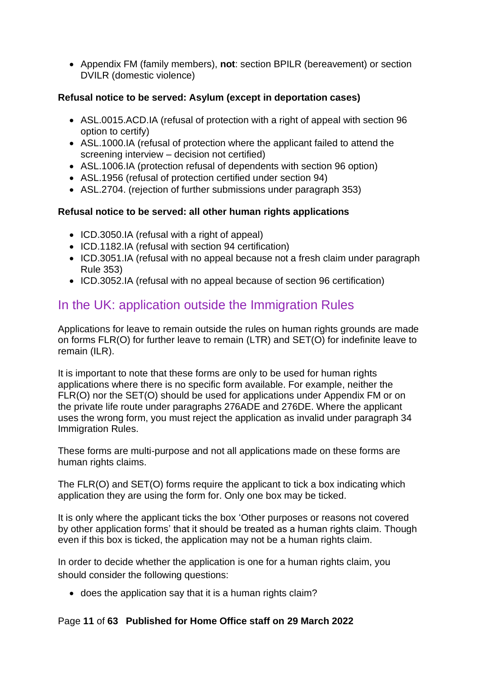• Appendix FM (family members), **not**: section BPILR (bereavement) or section DVILR (domestic violence)

### **Refusal notice to be served: Asylum (except in deportation cases)**

- ASL.0015.ACD.IA (refusal of protection with a right of appeal with section 96 option to certify)
- ASL.1000.IA (refusal of protection where the applicant failed to attend the screening interview – decision not certified)
- ASL.1006.IA (protection refusal of dependents with section 96 option)
- ASL.1956 (refusal of protection certified under section 94)
- ASL, 2704. (rejection of further submissions under paragraph 353)

### **Refusal notice to be served: all other human rights applications**

- ICD.3050.IA (refusal with a right of appeal)
- ICD.1182.IA (refusal with section 94 certification)
- ICD.3051.IA (refusal with no appeal because not a fresh claim under paragraph Rule 353)
- ICD.3052.IA (refusal with no appeal because of section 96 certification)

# <span id="page-10-0"></span>In the UK: application outside the Immigration Rules

Applications for leave to remain outside the rules on human rights grounds are made on forms FLR(O) for further leave to remain (LTR) and SET(O) for indefinite leave to remain (ILR).

It is important to note that these forms are only to be used for human rights applications where there is no specific form available. For example, neither the FLR(O) nor the SET(O) should be used for applications under Appendix FM or on the private life route under paragraphs 276ADE and 276DE. Where the applicant uses the wrong form, you must reject the application as invalid under paragraph 34 Immigration Rules.

These forms are multi-purpose and not all applications made on these forms are human rights claims.

The FLR(O) and SET(O) forms require the applicant to tick a box indicating which application they are using the form for. Only one box may be ticked.

It is only where the applicant ticks the box 'Other purposes or reasons not covered by other application forms' that it should be treated as a human rights claim. Though even if this box is ticked, the application may not be a human rights claim.

In order to decide whether the application is one for a human rights claim, you should consider the following questions:

• does the application say that it is a human rights claim?

### Page **11** of **63 Published for Home Office staff on 29 March 2022**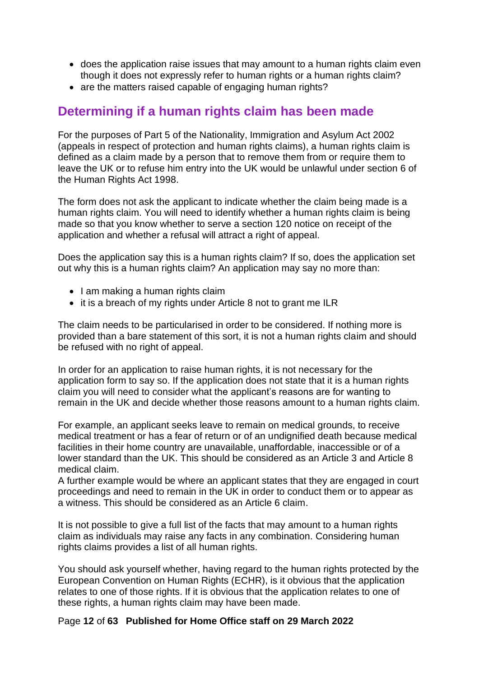- does the application raise issues that may amount to a human rights claim even though it does not expressly refer to human rights or a human rights claim?
- are the matters raised capable of engaging human rights?

## <span id="page-11-0"></span>**Determining if a human rights claim has been made**

For the purposes of Part 5 of the Nationality, Immigration and Asylum Act 2002 (appeals in respect of protection and human rights claims), a human rights claim is defined as a claim made by a person that to remove them from or require them to leave the UK or to refuse him entry into the UK would be unlawful under section 6 of the Human Rights Act 1998.

The form does not ask the applicant to indicate whether the claim being made is a human rights claim. You will need to identify whether a human rights claim is being made so that you know whether to serve a section 120 notice on receipt of the application and whether a refusal will attract a right of appeal.

Does the application say this is a human rights claim? If so, does the application set out why this is a human rights claim? An application may say no more than:

- I am making a human rights claim
- it is a breach of my rights under Article 8 not to grant me ILR

The claim needs to be particularised in order to be considered. If nothing more is provided than a bare statement of this sort, it is not a human rights claim and should be refused with no right of appeal.

In order for an application to raise human rights, it is not necessary for the application form to say so. If the application does not state that it is a human rights claim you will need to consider what the applicant's reasons are for wanting to remain in the UK and decide whether those reasons amount to a human rights claim.

For example, an applicant seeks leave to remain on medical grounds, to receive medical treatment or has a fear of return or of an undignified death because medical facilities in their home country are unavailable, unaffordable, inaccessible or of a lower standard than the UK. This should be considered as an Article 3 and Article 8 medical claim.

A further example would be where an applicant states that they are engaged in court proceedings and need to remain in the UK in order to conduct them or to appear as a witness. This should be considered as an Article 6 claim.

It is not possible to give a full list of the facts that may amount to a human rights claim as individuals may raise any facts in any combination. Considering human rights claims provides a list of all human rights.

You should ask yourself whether, having regard to the human rights protected by the European Convention on Human Rights (ECHR), is it obvious that the application relates to one of those rights. If it is obvious that the application relates to one of these rights, a human rights claim may have been made.

#### Page **12** of **63 Published for Home Office staff on 29 March 2022**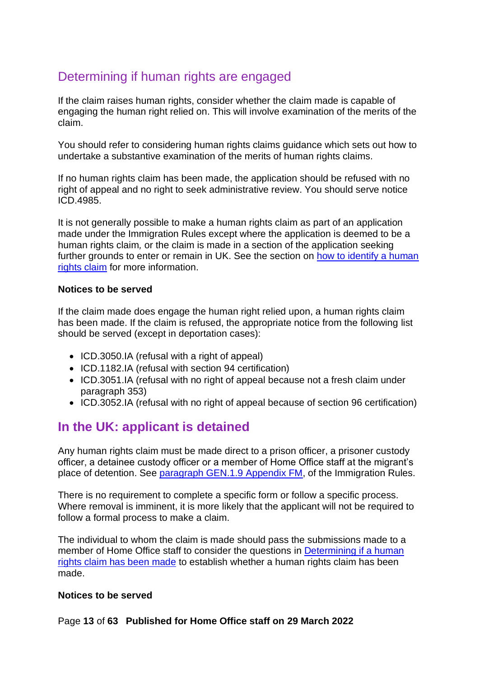# <span id="page-12-0"></span>Determining if human rights are engaged

If the claim raises human rights, consider whether the claim made is capable of engaging the human right relied on. This will involve examination of the merits of the claim.

You should refer to considering human rights claims guidance which sets out how to undertake a substantive examination of the merits of human rights claims.

If no human rights claim has been made, the application should be refused with no right of appeal and no right to seek administrative review. You should serve notice ICD.4985.

It is not generally possible to make a human rights claim as part of an application made under the Immigration Rules except where the application is deemed to be a human rights claim*,* or the claim is made in a section of the application seeking further grounds to enter or remain in UK. See the section on how to identify a human [rights claim](#page-9-1) for more information.

#### **Notices to be served**

If the claim made does engage the human right relied upon, a human rights claim has been made. If the claim is refused, the appropriate notice from the following list should be served (except in deportation cases):

- ICD.3050.IA (refusal with a right of appeal)
- ICD.1182.IA (refusal with section 94 certification)
- ICD.3051.IA (refusal with no right of appeal because not a fresh claim under paragraph 353)
- ICD.3052.IA (refusal with no right of appeal because of section 96 certification)

# <span id="page-12-1"></span>**In the UK: applicant is detained**

Any human rights claim must be made direct to a prison officer, a prisoner custody officer, a detainee custody officer or a member of Home Office staff at the migrant's place of detention. See [paragraph GEN.1.9 Appendix FM,](https://www.gov.uk/guidance/immigration-rules/immigration-rules-appendix-fm-family-members) of the Immigration Rules.

There is no requirement to complete a specific form or follow a specific process. Where removal is imminent, it is more likely that the applicant will not be required to follow a formal process to make a claim.

The individual to whom the claim is made should pass the submissions made to a member of Home Office staff to consider the questions in [Determining if a human](#page-14-1)  [rights claim has been made](#page-14-1) to establish whether a human rights claim has been made.

#### **Notices to be served**

Page **13** of **63 Published for Home Office staff on 29 March 2022**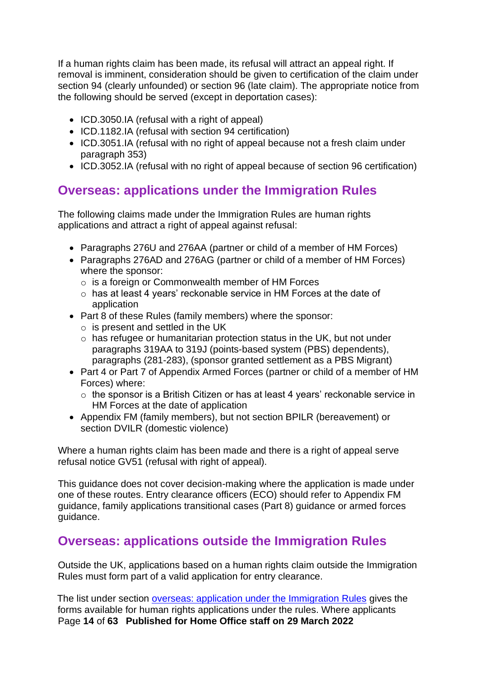If a human rights claim has been made, its refusal will attract an appeal right. If removal is imminent, consideration should be given to certification of the claim under section 94 (clearly unfounded) or section 96 (late claim). The appropriate notice from the following should be served (except in deportation cases):

- ICD.3050.IA (refusal with a right of appeal)
- ICD.1182.IA (refusal with section 94 certification)
- ICD.3051.IA (refusal with no right of appeal because not a fresh claim under paragraph 353)
- ICD.3052.IA (refusal with no right of appeal because of section 96 certification)

# <span id="page-13-0"></span>**Overseas: applications under the Immigration Rules**

The following claims made under the Immigration Rules are human rights applications and attract a right of appeal against refusal:

- Paragraphs 276U and 276AA (partner or child of a member of HM Forces)
- Paragraphs 276AD and 276AG (partner or child of a member of HM Forces) where the sponsor:
	- o is a foreign or Commonwealth member of HM Forces
	- o has at least 4 years' reckonable service in HM Forces at the date of application
- Part 8 of these Rules (family members) where the sponsor:
	- $\circ$  is present and settled in the UK
	- o has refugee or humanitarian protection status in the UK, but not under paragraphs 319AA to 319J (points-based system (PBS) dependents), paragraphs (281-283), (sponsor granted settlement as a PBS Migrant)
- Part 4 or Part 7 of Appendix Armed Forces (partner or child of a member of HM Forces) where:
	- o the sponsor is a British Citizen or has at least 4 years' reckonable service in HM Forces at the date of application
- Appendix FM (family members), but not section BPILR (bereavement) or section DVILR (domestic violence)

Where a human rights claim has been made and there is a right of appeal serve refusal notice GV51 (refusal with right of appeal).

This guidance does not cover decision-making where the application is made under one of these routes. Entry clearance officers (ECO) should refer to Appendix FM guidance, family applications transitional cases (Part 8) guidance or armed forces guidance.

# <span id="page-13-1"></span>**Overseas: applications outside the Immigration Rules**

Outside the UK, applications based on a human rights claim outside the Immigration Rules must form part of a valid application for entry clearance.

Page **14** of **63 Published for Home Office staff on 29 March 2022** The list under section [overseas: application under the Immigration Rules](#page-13-0) gives the forms available for human rights applications under the rules. Where applicants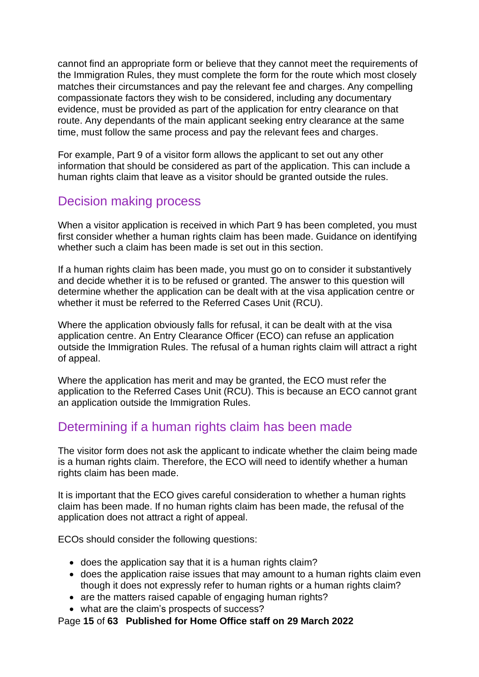cannot find an appropriate form or believe that they cannot meet the requirements of the Immigration Rules, they must complete the form for the route which most closely matches their circumstances and pay the relevant fee and charges. Any compelling compassionate factors they wish to be considered, including any documentary evidence, must be provided as part of the application for entry clearance on that route. Any dependants of the main applicant seeking entry clearance at the same time, must follow the same process and pay the relevant fees and charges.

For example, Part 9 of a visitor form allows the applicant to set out any other information that should be considered as part of the application. This can include a human rights claim that leave as a visitor should be granted outside the rules.

# <span id="page-14-0"></span>Decision making process

When a visitor application is received in which Part 9 has been completed, you must first consider whether a human rights claim has been made. Guidance on identifying whether such a claim has been made is set out in this section.

If a human rights claim has been made, you must go on to consider it substantively and decide whether it is to be refused or granted. The answer to this question will determine whether the application can be dealt with at the visa application centre or whether it must be referred to the Referred Cases Unit (RCU).

Where the application obviously falls for refusal, it can be dealt with at the visa application centre. An Entry Clearance Officer (ECO) can refuse an application outside the Immigration Rules. The refusal of a human rights claim will attract a right of appeal.

Where the application has merit and may be granted, the ECO must refer the application to the Referred Cases Unit (RCU). This is because an ECO cannot grant an application outside the Immigration Rules.

# <span id="page-14-1"></span>Determining if a human rights claim has been made

The visitor form does not ask the applicant to indicate whether the claim being made is a human rights claim. Therefore, the ECO will need to identify whether a human rights claim has been made.

It is important that the ECO gives careful consideration to whether a human rights claim has been made. If no human rights claim has been made, the refusal of the application does not attract a right of appeal.

ECOs should consider the following questions:

- does the application say that it is a human rights claim?
- does the application raise issues that may amount to a human rights claim even though it does not expressly refer to human rights or a human rights claim?
- are the matters raised capable of engaging human rights?
- what are the claim's prospects of success?

Page **15** of **63 Published for Home Office staff on 29 March 2022**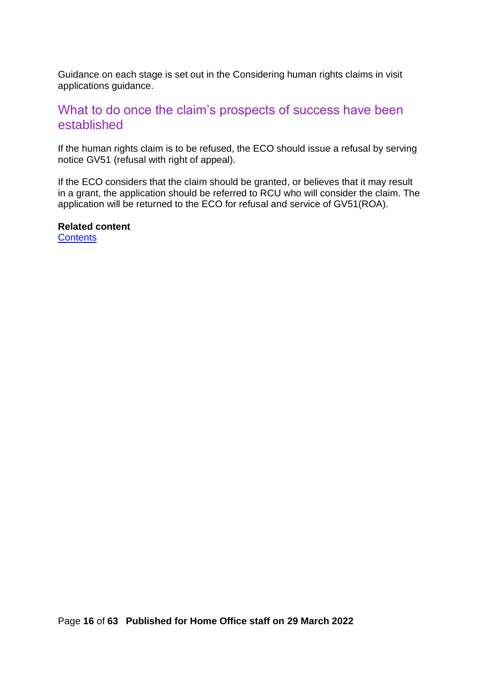Guidance on each stage is set out in the Considering human rights claims in visit applications guidance.

### <span id="page-15-0"></span>What to do once the claim's prospects of success have been established

If the human rights claim is to be refused, the ECO should issue a refusal by serving notice GV51 (refusal with right of appeal).

If the ECO considers that the claim should be granted, or believes that it may result in a grant, the application should be referred to RCU who will consider the claim. The application will be returned to the ECO for refusal and service of GV51(ROA).

**Related content**

**[Contents](#page-1-0)**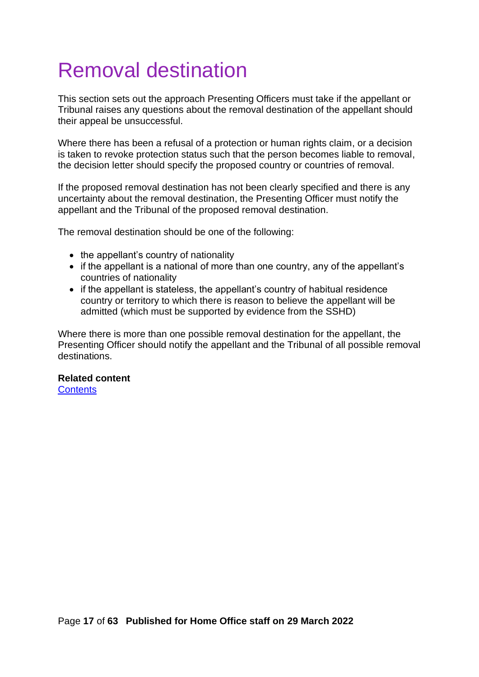# <span id="page-16-0"></span>Removal destination

This section sets out the approach Presenting Officers must take if the appellant or Tribunal raises any questions about the removal destination of the appellant should their appeal be unsuccessful.

Where there has been a refusal of a protection or human rights claim, or a decision is taken to revoke protection status such that the person becomes liable to removal, the decision letter should specify the proposed country or countries of removal.

If the proposed removal destination has not been clearly specified and there is any uncertainty about the removal destination, the Presenting Officer must notify the appellant and the Tribunal of the proposed removal destination.

The removal destination should be one of the following:

- the appellant's country of nationality
- if the appellant is a national of more than one country, any of the appellant's countries of nationality
- if the appellant is stateless, the appellant's country of habitual residence country or territory to which there is reason to believe the appellant will be admitted (which must be supported by evidence from the SSHD)

Where there is more than one possible removal destination for the appellant, the Presenting Officer should notify the appellant and the Tribunal of all possible removal destinations.

#### **Related content**

**[Contents](#page-1-0)**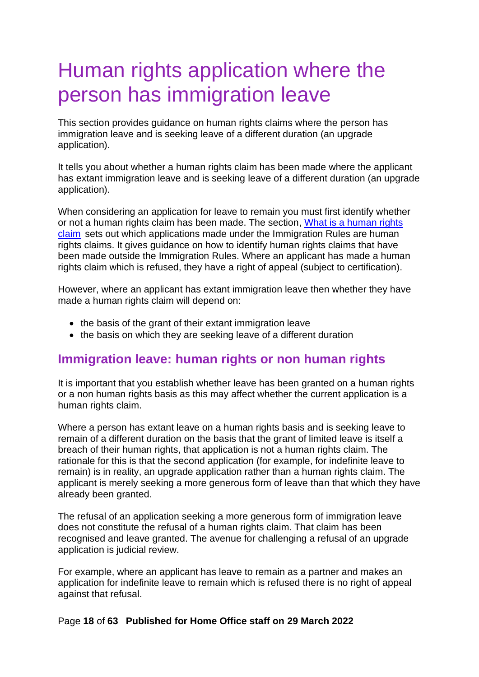# <span id="page-17-0"></span>Human rights application where the person has immigration leave

This section provides guidance on human rights claims where the person has immigration leave and is seeking leave of a different duration (an upgrade application).

It tells you about whether a human rights claim has been made where the applicant has extant immigration leave and is seeking leave of a different duration (an upgrade application).

When considering an application for leave to remain you must first identify whether or not a human rights claim has been made. The section, [What is a human rights](#page-9-0)  [claim](#page-9-0) sets out which applications made under the Immigration Rules are human rights claims. It gives guidance on how to identify human rights claims that have been made outside the Immigration Rules. Where an applicant has made a human rights claim which is refused, they have a right of appeal (subject to certification).

However, where an applicant has extant immigration leave then whether they have made a human rights claim will depend on:

- the basis of the grant of their extant immigration leave
- the basis on which they are seeking leave of a different duration

# <span id="page-17-1"></span>**Immigration leave: human rights or non human rights**

It is important that you establish whether leave has been granted on a human rights or a non human rights basis as this may affect whether the current application is a human rights claim.

Where a person has extant leave on a human rights basis and is seeking leave to remain of a different duration on the basis that the grant of limited leave is itself a breach of their human rights, that application is not a human rights claim. The rationale for this is that the second application (for example, for indefinite leave to remain) is in reality, an upgrade application rather than a human rights claim. The applicant is merely seeking a more generous form of leave than that which they have already been granted.

The refusal of an application seeking a more generous form of immigration leave does not constitute the refusal of a human rights claim. That claim has been recognised and leave granted. The avenue for challenging a refusal of an upgrade application is judicial review.

For example, where an applicant has leave to remain as a partner and makes an application for indefinite leave to remain which is refused there is no right of appeal against that refusal.

#### Page **18** of **63 Published for Home Office staff on 29 March 2022**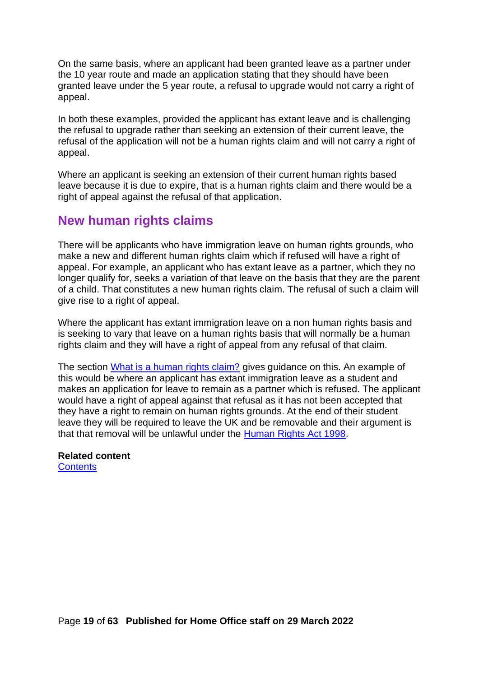On the same basis, where an applicant had been granted leave as a partner under the 10 year route and made an application stating that they should have been granted leave under the 5 year route, a refusal to upgrade would not carry a right of appeal.

In both these examples, provided the applicant has extant leave and is challenging the refusal to upgrade rather than seeking an extension of their current leave, the refusal of the application will not be a human rights claim and will not carry a right of appeal.

Where an applicant is seeking an extension of their current human rights based leave because it is due to expire, that is a human rights claim and there would be a right of appeal against the refusal of that application.

# <span id="page-18-0"></span>**New human rights claims**

There will be applicants who have immigration leave on human rights grounds, who make a new and different human rights claim which if refused will have a right of appeal. For example, an applicant who has extant leave as a partner, which they no longer qualify for, seeks a variation of that leave on the basis that they are the parent of a child. That constitutes a new human rights claim. The refusal of such a claim will give rise to a right of appeal.

Where the applicant has extant immigration leave on a non human rights basis and is seeking to vary that leave on a human rights basis that will normally be a human rights claim and they will have a right of appeal from any refusal of that claim.

The section [What is a human rights claim?](#page-9-0) gives guidance on this. An example of this would be where an applicant has extant immigration leave as a student and makes an application for leave to remain as a partner which is refused. The applicant would have a right of appeal against that refusal as it has not been accepted that they have a right to remain on human rights grounds. At the end of their student leave they will be required to leave the UK and be removable and their argument is that that removal will be unlawful under the [Human Rights Act 1998.](http://www.legislation.gov.uk/ukpga/1998/42/contents)

# **Related content**

**[Contents](#page-1-0)**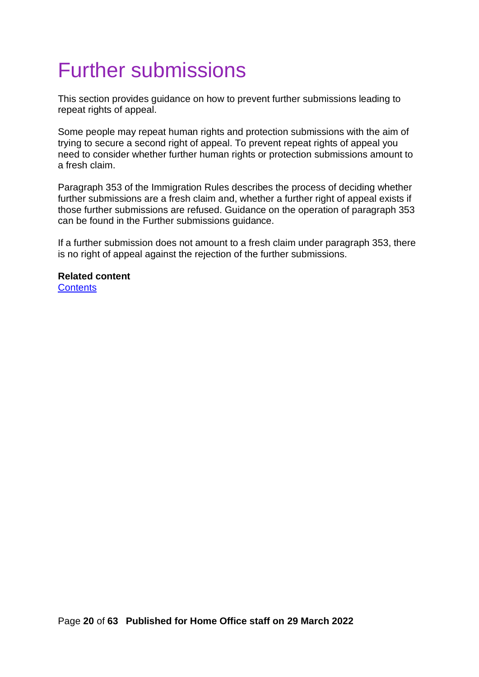# <span id="page-19-0"></span>Further submissions

This section provides guidance on how to prevent further submissions leading to repeat rights of appeal.

Some people may repeat human rights and protection submissions with the aim of trying to secure a second right of appeal. To prevent repeat rights of appeal you need to consider whether further human rights or protection submissions amount to a fresh claim.

Paragraph 353 of the Immigration Rules describes the process of deciding whether further submissions are a fresh claim and, whether a further right of appeal exists if those further submissions are refused. Guidance on the operation of paragraph 353 can be found in the Further submissions guidance.

If a further submission does not amount to a fresh claim under paragraph 353, there is no right of appeal against the rejection of the further submissions.

**Related content [Contents](#page-1-0)**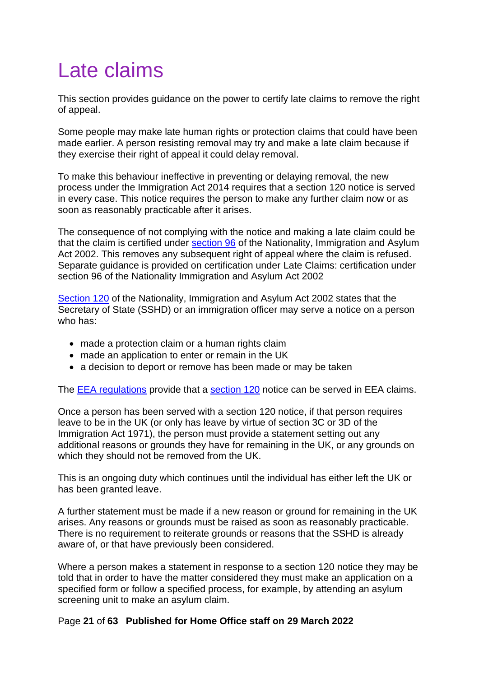# <span id="page-20-0"></span>Late claims

This section provides guidance on the power to certify late claims to remove the right of appeal.

Some people may make late human rights or protection claims that could have been made earlier. A person resisting removal may try and make a late claim because if they exercise their right of appeal it could delay removal.

To make this behaviour ineffective in preventing or delaying removal, the new process under the Immigration Act 2014 requires that a section 120 notice is served in every case. This notice requires the person to make any further claim now or as soon as reasonably practicable after it arises.

The consequence of not complying with the notice and making a late claim could be that the claim is certified under [section 96](http://www.legislation.gov.uk/ukpga/2002/41/section/96) of the Nationality, Immigration and Asylum Act 2002. This removes any subsequent right of appeal where the claim is refused. Separate guidance is provided on certification under Late Claims: certification under section 96 of the Nationality Immigration and Asylum Act 2002

[Section 120](http://www.legislation.gov.uk/ukpga/2002/41/section/120) of the Nationality, Immigration and Asylum Act 2002 states that the Secretary of State (SSHD) or an immigration officer may serve a notice on a person who has:

- made a protection claim or a human rights claim
- made an application to enter or remain in the UK
- a decision to deport or remove has been made or may be taken

The [EEA regulations](http://www.legislation.gov.uk/uksi/2015/694/made) provide that a [section 120](http://www.legislation.gov.uk/ukpga/2002/41/section/120) notice can be served in EEA claims.

Once a person has been served with a section 120 notice, if that person requires leave to be in the UK (or only has leave by virtue of section 3C or 3D of the Immigration Act 1971), the person must provide a statement setting out any additional reasons or grounds they have for remaining in the UK, or any grounds on which they should not be removed from the UK.

This is an ongoing duty which continues until the individual has either left the UK or has been granted leave.

A further statement must be made if a new reason or ground for remaining in the UK arises. Any reasons or grounds must be raised as soon as reasonably practicable. There is no requirement to reiterate grounds or reasons that the SSHD is already aware of, or that have previously been considered.

Where a person makes a statement in response to a section 120 notice they may be told that in order to have the matter considered they must make an application on a specified form or follow a specified process, for example, by attending an asylum screening unit to make an asylum claim.

### Page **21** of **63 Published for Home Office staff on 29 March 2022**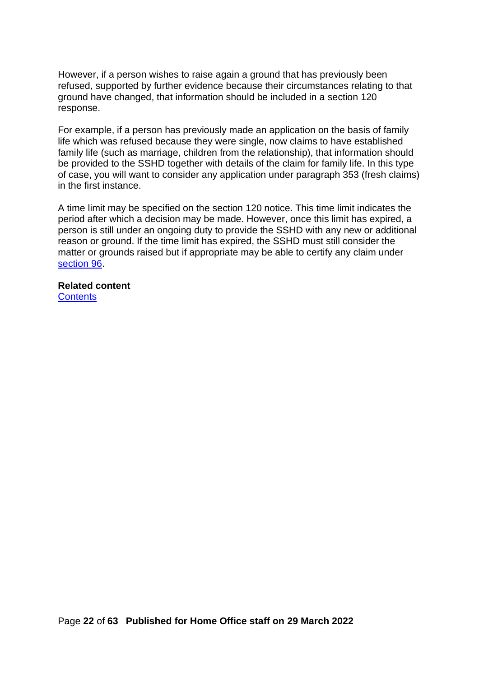However, if a person wishes to raise again a ground that has previously been refused, supported by further evidence because their circumstances relating to that ground have changed, that information should be included in a section 120 response.

For example, if a person has previously made an application on the basis of family life which was refused because they were single, now claims to have established family life (such as marriage, children from the relationship), that information should be provided to the SSHD together with details of the claim for family life. In this type of case, you will want to consider any application under paragraph 353 (fresh claims) in the first instance.

A time limit may be specified on the section 120 notice. This time limit indicates the period after which a decision may be made. However, once this limit has expired, a person is still under an ongoing duty to provide the SSHD with any new or additional reason or ground. If the time limit has expired, the SSHD must still consider the matter or grounds raised but if appropriate may be able to certify any claim under [section 96.](http://www.legislation.gov.uk/ukpga/2002/41/section/96)

**Related content [Contents](#page-1-0)**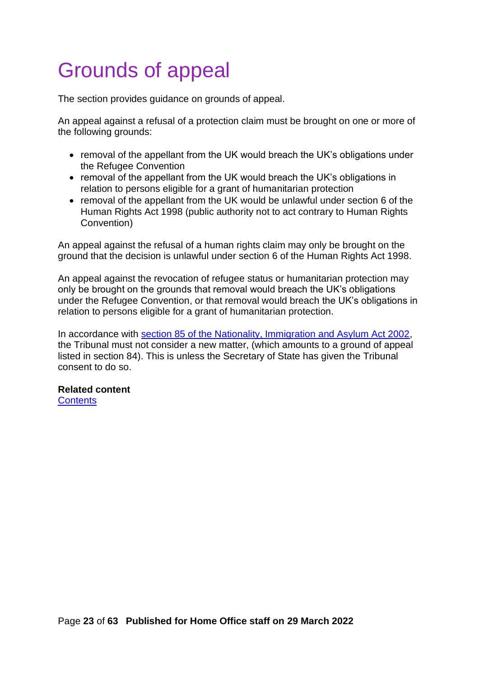# <span id="page-22-0"></span>Grounds of appeal

The section provides guidance on grounds of appeal.

An appeal against a refusal of a protection claim must be brought on one or more of the following grounds:

- removal of the appellant from the UK would breach the UK's obligations under the Refugee Convention
- removal of the appellant from the UK would breach the UK's obligations in relation to persons eligible for a grant of humanitarian protection
- removal of the appellant from the UK would be unlawful under section 6 of the Human Rights Act 1998 (public authority not to act contrary to Human Rights Convention)

An appeal against the refusal of a human rights claim may only be brought on the ground that the decision is unlawful under section 6 of the Human Rights Act 1998.

An appeal against the revocation of refugee status or humanitarian protection may only be brought on the grounds that removal would breach the UK's obligations under the Refugee Convention, or that removal would breach the UK's obligations in relation to persons eligible for a grant of humanitarian protection.

In accordance with [section 85 of the Nationality, Immigration and Asylum Act 2002,](http://www.legislation.gov.uk/ukpga/2002/41/section/85) the Tribunal must not consider a new matter, (which amounts to a ground of appeal listed in section 84). This is unless the Secretary of State has given the Tribunal consent to do so.

#### **Related content**

**[Contents](#page-1-0)**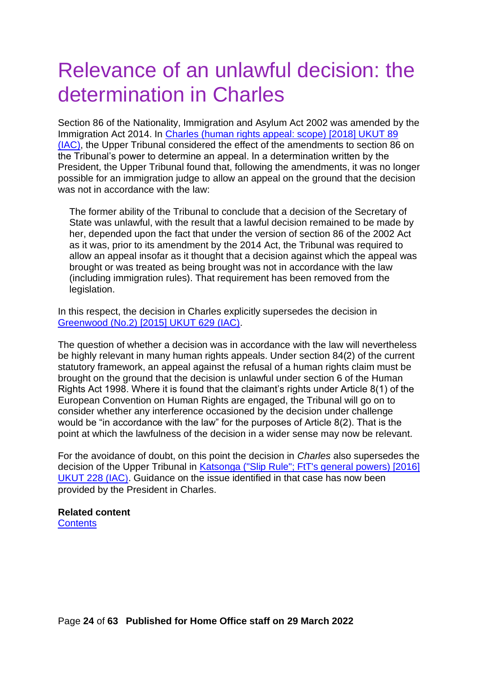# <span id="page-23-0"></span>Relevance of an unlawful decision: the determination in Charles

Section 86 of the Nationality, Immigration and Asylum Act 2002 was amended by the Immigration Act 2014. In [Charles \(human rights appeal: scope\)](http://www.bailii.org/uk/cases/UKUT/IAC/2018/89.html) [2018] UKUT 89 [\(IAC\),](http://www.bailii.org/uk/cases/UKUT/IAC/2018/89.html) the Upper Tribunal considered the effect of the amendments to section 86 on the Tribunal's power to determine an appeal. In a determination written by the President, the Upper Tribunal found that, following the amendments, it was no longer possible for an immigration judge to allow an appeal on the ground that the decision was not in accordance with the law:

The former ability of the Tribunal to conclude that a decision of the Secretary of State was unlawful, with the result that a lawful decision remained to be made by her, depended upon the fact that under the version of section 86 of the 2002 Act as it was, prior to its amendment by the 2014 Act, the Tribunal was required to allow an appeal insofar as it thought that a decision against which the appeal was brought or was treated as being brought was not in accordance with the law (including immigration rules). That requirement has been removed from the legislation.

In this respect, the decision in Charles explicitly supersedes the decision in [Greenwood \(No.2\) \[2015\] UKUT 629 \(IAC\).](http://www.bailii.org/uk/cases/UKUT/IAC/2015/629.html)

The question of whether a decision was in accordance with the law will nevertheless be highly relevant in many human rights appeals. Under section 84(2) of the current statutory framework, an appeal against the refusal of a human rights claim must be brought on the ground that the decision is unlawful under section 6 of the Human Rights Act 1998. Where it is found that the claimant's rights under Article 8(1) of the European Convention on Human Rights are engaged, the Tribunal will go on to consider whether any interference occasioned by the decision under challenge would be "in accordance with the law" for the purposes of Article 8(2). That is the point at which the lawfulness of the decision in a wider sense may now be relevant.

For the avoidance of doubt, on this point the decision in *Charles* also supersedes the decision of the Upper Tribunal in Katsonga [\("Slip Rule"; FtT's general powers\) \[2016\]](http://www.bailii.org/uk/cases/UKUT/IAC/2016/228.html)  [UKUT 228 \(IAC](http://www.bailii.org/uk/cases/UKUT/IAC/2016/228.html)). Guidance on the issue identified in that case has now been provided by the President in Charles.

#### **Related content [Contents](#page-1-0)**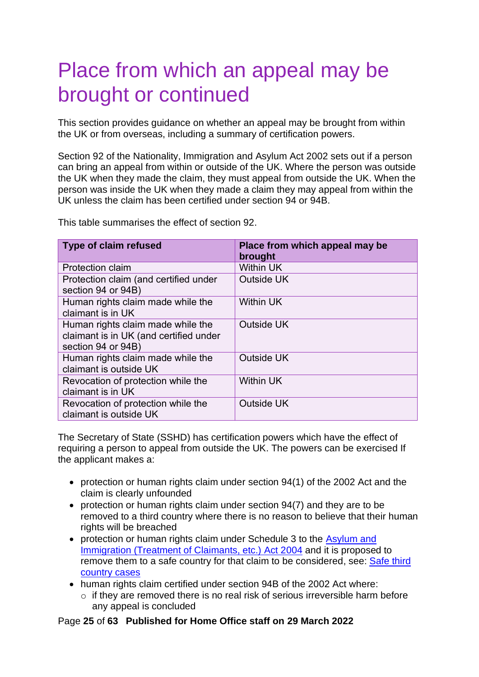# <span id="page-24-0"></span>Place from which an appeal may be brought or continued

This section provides guidance on whether an appeal may be brought from within the UK or from overseas, including a summary of certification powers.

Section 92 of the Nationality, Immigration and Asylum Act 2002 sets out if a person can bring an appeal from within or outside of the UK. Where the person was outside the UK when they made the claim, they must appeal from outside the UK. When the person was inside the UK when they made a claim they may appeal from within the UK unless the claim has been certified under section 94 or 94B.

This table summarises the effect of section 92.

| <b>Type of claim refused</b>                                                                      | Place from which appeal may be<br>brought |
|---------------------------------------------------------------------------------------------------|-------------------------------------------|
| <b>Protection claim</b>                                                                           | <b>Within UK</b>                          |
| Protection claim (and certified under<br>section 94 or 94B)                                       | <b>Outside UK</b>                         |
| Human rights claim made while the<br>claimant is in UK                                            | <b>Within UK</b>                          |
| Human rights claim made while the<br>claimant is in UK (and certified under<br>section 94 or 94B) | Outside UK                                |
| Human rights claim made while the<br>claimant is outside UK                                       | <b>Outside UK</b>                         |
| Revocation of protection while the<br>claimant is in UK                                           | <b>Within UK</b>                          |
| Revocation of protection while the<br>claimant is outside UK                                      | <b>Outside UK</b>                         |

The Secretary of State (SSHD) has certification powers which have the effect of requiring a person to appeal from outside the UK. The powers can be exercised If the applicant makes a:

- protection or human rights claim under section 94(1) of the 2002 Act and the claim is clearly unfounded
- protection or human rights claim under section 94(7) and they are to be removed to a third country where there is no reason to believe that their human rights will be breached
- protection or human rights claim under Schedule 3 to the **Asylum and** [Immigration \(Treatment of Claimants, etc.\)](https://www.legislation.gov.uk/ukpga/2004/19/contents) Act 2004 and it is proposed to remove them to a safe country for that claim to be considered, see: [Safe third](https://www.gov.uk/government/publications/inadmissibility-third-country-cases)  [country cases](https://www.gov.uk/government/publications/inadmissibility-third-country-cases)
- human rights claim certified under section 94B of the 2002 Act where:
	- $\circ$  if they are removed there is no real risk of serious irreversible harm before any appeal is concluded

### Page **25** of **63 Published for Home Office staff on 29 March 2022**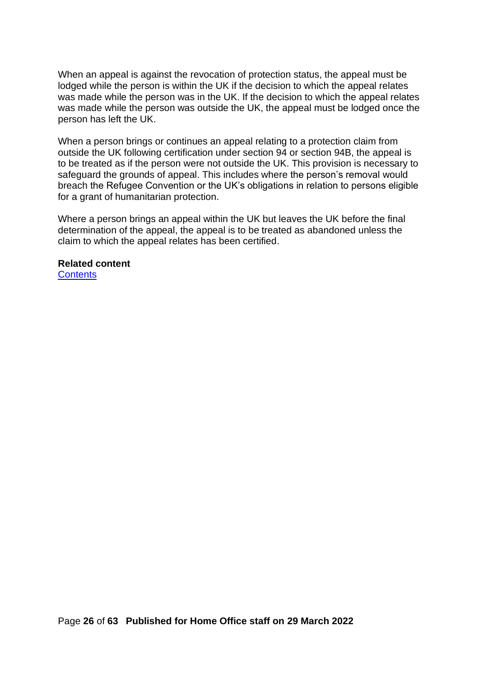When an appeal is against the revocation of protection status, the appeal must be lodged while the person is within the UK if the decision to which the appeal relates was made while the person was in the UK. If the decision to which the appeal relates was made while the person was outside the UK, the appeal must be lodged once the person has left the UK.

When a person brings or continues an appeal relating to a protection claim from outside the UK following certification under section 94 or section 94B, the appeal is to be treated as if the person were not outside the UK. This provision is necessary to safeguard the grounds of appeal. This includes where the person's removal would breach the Refugee Convention or the UK's obligations in relation to persons eligible for a grant of humanitarian protection.

Where a person brings an appeal within the UK but leaves the UK before the final determination of the appeal, the appeal is to be treated as abandoned unless the claim to which the appeal relates has been certified.

#### **Related content**

**[Contents](#page-1-0)**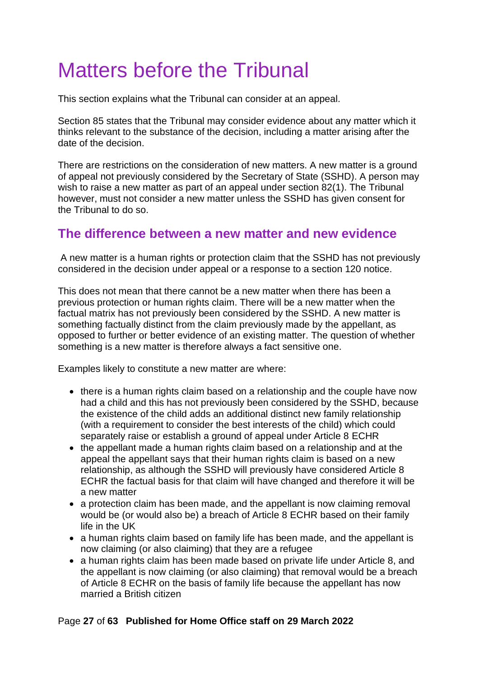# <span id="page-26-0"></span>Matters before the Tribunal

This section explains what the Tribunal can consider at an appeal.

Section 85 states that the Tribunal may consider evidence about any matter which it thinks relevant to the substance of the decision, including a matter arising after the date of the decision.

There are restrictions on the consideration of new matters. A new matter is a ground of appeal not previously considered by the Secretary of State (SSHD). A person may wish to raise a new matter as part of an appeal under section 82(1). The Tribunal however, must not consider a new matter unless the SSHD has given consent for the Tribunal to do so.

## <span id="page-26-1"></span>**The difference between a new matter and new evidence**

A new matter is a human rights or protection claim that the SSHD has not previously considered in the decision under appeal or a response to a section 120 notice.

This does not mean that there cannot be a new matter when there has been a previous protection or human rights claim. There will be a new matter when the factual matrix has not previously been considered by the SSHD. A new matter is something factually distinct from the claim previously made by the appellant, as opposed to further or better evidence of an existing matter. The question of whether something is a new matter is therefore always a fact sensitive one.

Examples likely to constitute a new matter are where:

- there is a human rights claim based on a relationship and the couple have now had a child and this has not previously been considered by the SSHD, because the existence of the child adds an additional distinct new family relationship (with a requirement to consider the best interests of the child) which could separately raise or establish a ground of appeal under Article 8 ECHR
- the appellant made a human rights claim based on a relationship and at the appeal the appellant says that their human rights claim is based on a new relationship, as although the SSHD will previously have considered Article 8 ECHR the factual basis for that claim will have changed and therefore it will be a new matter
- a protection claim has been made, and the appellant is now claiming removal would be (or would also be) a breach of Article 8 ECHR based on their family life in the UK
- a human rights claim based on family life has been made, and the appellant is now claiming (or also claiming) that they are a refugee
- a human rights claim has been made based on private life under Article 8, and the appellant is now claiming (or also claiming) that removal would be a breach of Article 8 ECHR on the basis of family life because the appellant has now married a British citizen

### Page **27** of **63 Published for Home Office staff on 29 March 2022**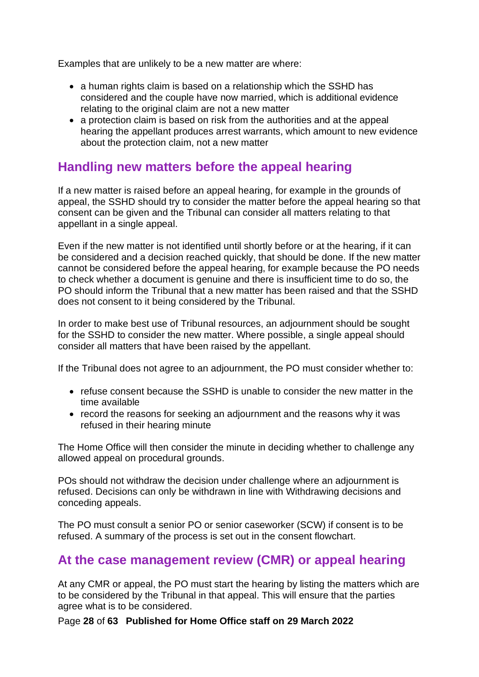Examples that are unlikely to be a new matter are where:

- a human rights claim is based on a relationship which the SSHD has considered and the couple have now married, which is additional evidence relating to the original claim are not a new matter
- a protection claim is based on risk from the authorities and at the appeal hearing the appellant produces arrest warrants, which amount to new evidence about the protection claim, not a new matter

## <span id="page-27-0"></span>**Handling new matters before the appeal hearing**

If a new matter is raised before an appeal hearing, for example in the grounds of appeal, the SSHD should try to consider the matter before the appeal hearing so that consent can be given and the Tribunal can consider all matters relating to that appellant in a single appeal.

Even if the new matter is not identified until shortly before or at the hearing, if it can be considered and a decision reached quickly, that should be done. If the new matter cannot be considered before the appeal hearing, for example because the PO needs to check whether a document is genuine and there is insufficient time to do so, the PO should inform the Tribunal that a new matter has been raised and that the SSHD does not consent to it being considered by the Tribunal.

In order to make best use of Tribunal resources, an adjournment should be sought for the SSHD to consider the new matter. Where possible, a single appeal should consider all matters that have been raised by the appellant.

If the Tribunal does not agree to an adjournment, the PO must consider whether to:

- refuse consent because the SSHD is unable to consider the new matter in the time available
- record the reasons for seeking an adjournment and the reasons why it was refused in their hearing minute

The Home Office will then consider the minute in deciding whether to challenge any allowed appeal on procedural grounds.

POs should not withdraw the decision under challenge where an adjournment is refused. Decisions can only be withdrawn in line with Withdrawing decisions and conceding appeals.

The PO must consult a senior PO or senior caseworker (SCW) if consent is to be refused. A summary of the process is set out in the consent flowchart.

# <span id="page-27-1"></span>**At the case management review (CMR) or appeal hearing**

At any CMR or appeal, the PO must start the hearing by listing the matters which are to be considered by the Tribunal in that appeal. This will ensure that the parties agree what is to be considered.

Page **28** of **63 Published for Home Office staff on 29 March 2022**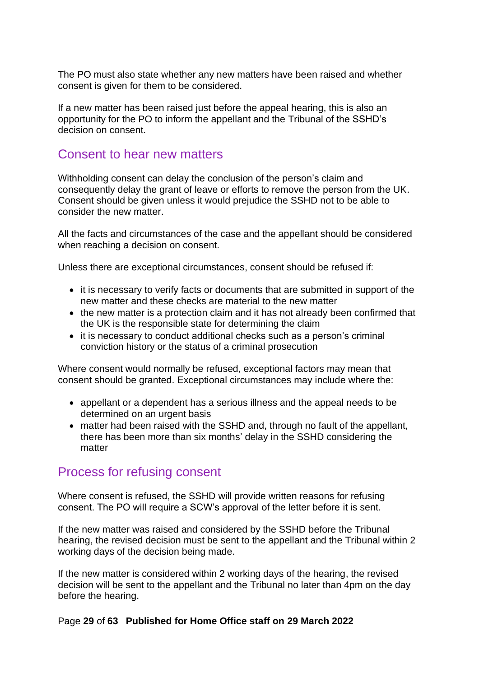The PO must also state whether any new matters have been raised and whether consent is given for them to be considered.

If a new matter has been raised just before the appeal hearing, this is also an opportunity for the PO to inform the appellant and the Tribunal of the SSHD's decision on consent.

## <span id="page-28-0"></span>Consent to hear new matters

Withholding consent can delay the conclusion of the person's claim and consequently delay the grant of leave or efforts to remove the person from the UK. Consent should be given unless it would prejudice the SSHD not to be able to consider the new matter.

All the facts and circumstances of the case and the appellant should be considered when reaching a decision on consent.

Unless there are exceptional circumstances, consent should be refused if:

- it is necessary to verify facts or documents that are submitted in support of the new matter and these checks are material to the new matter
- the new matter is a protection claim and it has not already been confirmed that the UK is the responsible state for determining the claim
- it is necessary to conduct additional checks such as a person's criminal conviction history or the status of a criminal prosecution

Where consent would normally be refused, exceptional factors may mean that consent should be granted. Exceptional circumstances may include where the:

- appellant or a dependent has a serious illness and the appeal needs to be determined on an urgent basis
- matter had been raised with the SSHD and, through no fault of the appellant, there has been more than six months' delay in the SSHD considering the matter

### <span id="page-28-1"></span>Process for refusing consent

Where consent is refused, the SSHD will provide written reasons for refusing consent. The PO will require a SCW's approval of the letter before it is sent.

If the new matter was raised and considered by the SSHD before the Tribunal hearing, the revised decision must be sent to the appellant and the Tribunal within 2 working days of the decision being made.

If the new matter is considered within 2 working days of the hearing, the revised decision will be sent to the appellant and the Tribunal no later than 4pm on the day before the hearing.

#### Page **29** of **63 Published for Home Office staff on 29 March 2022**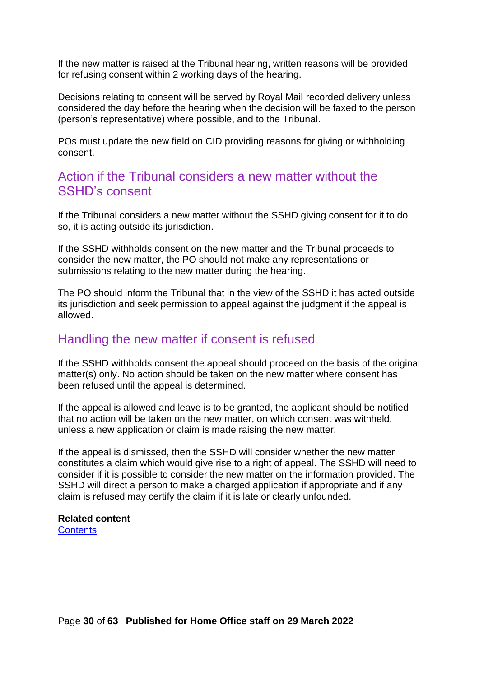If the new matter is raised at the Tribunal hearing, written reasons will be provided for refusing consent within 2 working days of the hearing.

Decisions relating to consent will be served by Royal Mail recorded delivery unless considered the day before the hearing when the decision will be faxed to the person (person's representative) where possible, and to the Tribunal.

POs must update the new field on CID providing reasons for giving or withholding consent.

### <span id="page-29-0"></span>Action if the Tribunal considers a new matter without the SSHD's consent

If the Tribunal considers a new matter without the SSHD giving consent for it to do so, it is acting outside its jurisdiction.

If the SSHD withholds consent on the new matter and the Tribunal proceeds to consider the new matter, the PO should not make any representations or submissions relating to the new matter during the hearing.

The PO should inform the Tribunal that in the view of the SSHD it has acted outside its jurisdiction and seek permission to appeal against the judgment if the appeal is allowed.

### <span id="page-29-1"></span>Handling the new matter if consent is refused

If the SSHD withholds consent the appeal should proceed on the basis of the original matter(s) only. No action should be taken on the new matter where consent has been refused until the appeal is determined.

If the appeal is allowed and leave is to be granted, the applicant should be notified that no action will be taken on the new matter, on which consent was withheld, unless a new application or claim is made raising the new matter.

If the appeal is dismissed, then the SSHD will consider whether the new matter constitutes a claim which would give rise to a right of appeal. The SSHD will need to consider if it is possible to consider the new matter on the information provided. The SSHD will direct a person to make a charged application if appropriate and if any claim is refused may certify the claim if it is late or clearly unfounded.

#### **Related content [Contents](#page-1-0)**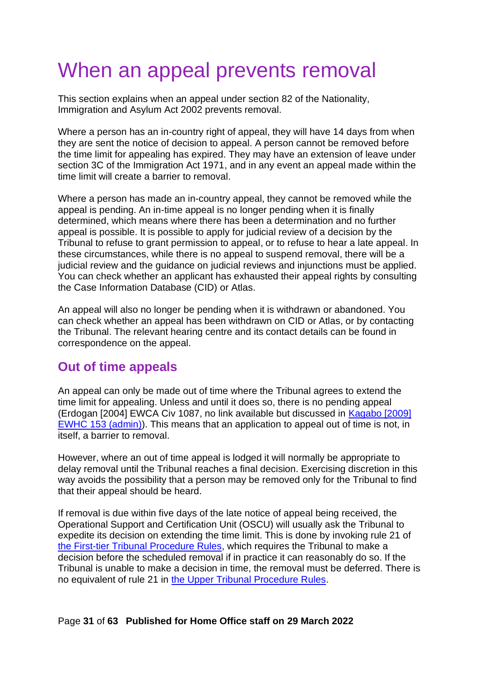# When an appeal prevents removal

This section explains when an appeal under section 82 of the Nationality, Immigration and Asylum Act 2002 prevents removal.

Where a person has an in-country right of appeal, they will have 14 days from when they are sent the notice of decision to appeal. A person cannot be removed before the time limit for appealing has expired. They may have an extension of leave under section 3C of the Immigration Act 1971, and in any event an appeal made within the time limit will create a barrier to removal.

Where a person has made an in-country appeal, they cannot be removed while the appeal is pending. An in-time appeal is no longer pending when it is finally determined, which means where there has been a determination and no further appeal is possible. It is possible to apply for judicial review of a decision by the Tribunal to refuse to grant permission to appeal, or to refuse to hear a late appeal. In these circumstances, while there is no appeal to suspend removal, there will be a judicial review and the guidance on judicial reviews and injunctions must be applied. You can check whether an applicant has exhausted their appeal rights by consulting the Case Information Database (CID) or Atlas.

An appeal will also no longer be pending when it is withdrawn or abandoned. You can check whether an appeal has been withdrawn on CID or Atlas, or by contacting the Tribunal. The relevant hearing centre and its contact details can be found in correspondence on the appeal.

# **Out of time appeals**

An appeal can only be made out of time where the Tribunal agrees to extend the time limit for appealing. Unless and until it does so, there is no pending appeal (Erdogan [2004] EWCA Civ 1087, no link available but discussed in [Kagabo \[2009\]](https://www.bailii.org/ew/cases/EWHC/Admin/2009/153.html)  [EWHC 153 \(admin\)\)](https://www.bailii.org/ew/cases/EWHC/Admin/2009/153.html). This means that an application to appeal out of time is not, in itself, a barrier to removal.

However, where an out of time appeal is lodged it will normally be appropriate to delay removal until the Tribunal reaches a final decision. Exercising discretion in this way avoids the possibility that a person may be removed only for the Tribunal to find that their appeal should be heard.

If removal is due within five days of the late notice of appeal being received, the Operational Support and Certification Unit (OSCU) will usually ask the Tribunal to expedite its decision on extending the time limit. This is done by invoking rule 21 of [the First-tier Tribunal Procedure Rules,](https://www.gov.uk/government/publications/immigration-and-asylum-chamber-tribunal-procedure-rules) which requires the Tribunal to make a decision before the scheduled removal if in practice it can reasonably do so. If the Tribunal is unable to make a decision in time, the removal must be deferred. There is no equivalent of rule 21 in [the Upper Tribunal Procedure Rules.](https://www.gov.uk/government/publications/upper-tribunal-procedure-rules)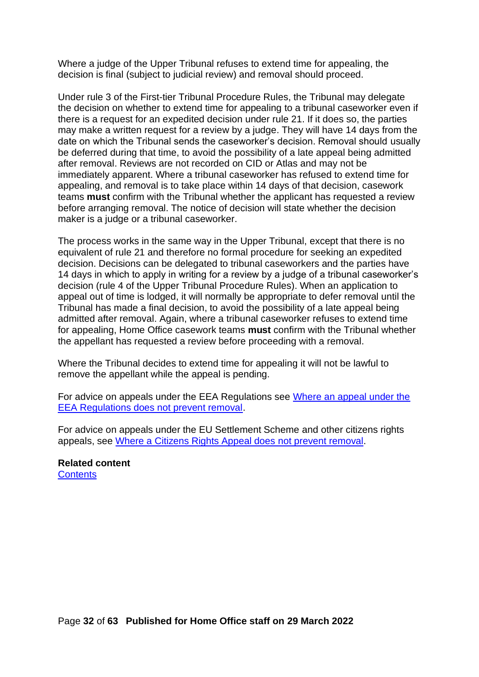Where a judge of the Upper Tribunal refuses to extend time for appealing, the decision is final (subject to judicial review) and removal should proceed.

Under rule 3 of the First-tier Tribunal Procedure Rules, the Tribunal may delegate the decision on whether to extend time for appealing to a tribunal caseworker even if there is a request for an expedited decision under rule 21. If it does so, the parties may make a written request for a review by a judge. They will have 14 days from the date on which the Tribunal sends the caseworker's decision. Removal should usually be deferred during that time, to avoid the possibility of a late appeal being admitted after removal. Reviews are not recorded on CID or Atlas and may not be immediately apparent. Where a tribunal caseworker has refused to extend time for appealing, and removal is to take place within 14 days of that decision, casework teams **must** confirm with the Tribunal whether the applicant has requested a review before arranging removal. The notice of decision will state whether the decision maker is a judge or a tribunal caseworker.

The process works in the same way in the Upper Tribunal, except that there is no equivalent of rule 21 and therefore no formal procedure for seeking an expedited decision. Decisions can be delegated to tribunal caseworkers and the parties have 14 days in which to apply in writing for a review by a judge of a tribunal caseworker's decision (rule 4 of the Upper Tribunal Procedure Rules). When an application to appeal out of time is lodged, it will normally be appropriate to defer removal until the Tribunal has made a final decision, to avoid the possibility of a late appeal being admitted after removal. Again, where a tribunal caseworker refuses to extend time for appealing, Home Office casework teams **must** confirm with the Tribunal whether the appellant has requested a review before proceeding with a removal.

Where the Tribunal decides to extend time for appealing it will not be lawful to remove the appellant while the appeal is pending.

For advice on appeals under the EEA Regulations see [Where an appeal under the](#page-39-1)  [EEA Regulations does not prevent removal.](#page-39-1)

For advice on appeals under the EU Settlement Scheme and other citizens rights appeals, see [Where a Citizens Rights Appeal does not prevent removal.](#page-56-1)

**Related content [Contents](#page-1-0)**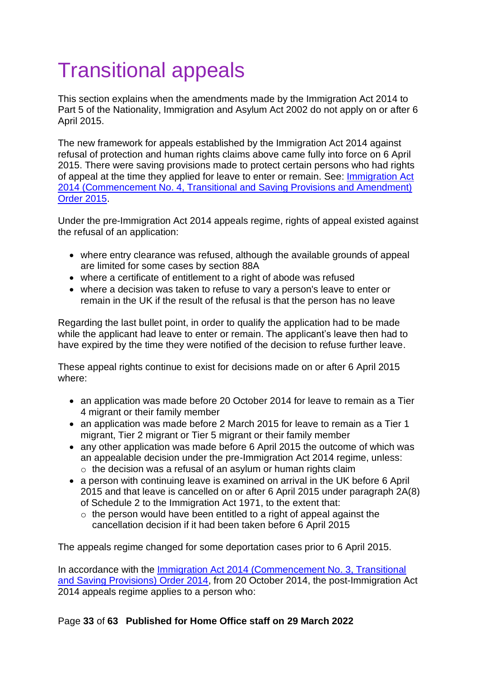# <span id="page-32-0"></span>Transitional appeals

This section explains when the amendments made by the Immigration Act 2014 to Part 5 of the Nationality, Immigration and Asylum Act 2002 do not apply on or after 6 April 2015.

The new framework for appeals established by the Immigration Act 2014 against refusal of protection and human rights claims above came fully into force on 6 April 2015. There were saving provisions made to protect certain persons who had rights of appeal at the time they applied for leave to enter or remain. See: [Immigration Act](http://www.legislation.gov.uk/uksi/2015/371/contents/made)  [2014 \(Commencement No. 4, Transitional and Saving Provisions and Amendment\)](http://www.legislation.gov.uk/uksi/2015/371/contents/made)  [Order 2015.](http://www.legislation.gov.uk/uksi/2015/371/contents/made)

Under the pre-Immigration Act 2014 appeals regime, rights of appeal existed against the refusal of an application:

- where entry clearance was refused, although the available grounds of appeal are limited for some cases by section 88A
- where a certificate of entitlement to a right of abode was refused
- where a decision was taken to refuse to vary a person's leave to enter or remain in the UK if the result of the refusal is that the person has no leave

Regarding the last bullet point, in order to qualify the application had to be made while the applicant had leave to enter or remain. The applicant's leave then had to have expired by the time they were notified of the decision to refuse further leave.

These appeal rights continue to exist for decisions made on or after 6 April 2015 where:

- an application was made before 20 October 2014 for leave to remain as a Tier 4 migrant or their family member
- an application was made before 2 March 2015 for leave to remain as a Tier 1 migrant, Tier 2 migrant or Tier 5 migrant or their family member
- any other application was made before 6 April 2015 the outcome of which was an appealable decision under the pre-Immigration Act 2014 regime, unless: o the decision was a refusal of an asylum or human rights claim
- a person with continuing leave is examined on arrival in the UK before 6 April 2015 and that leave is cancelled on or after 6 April 2015 under [paragraph 2A\(8\)](http://www.legislation.gov.uk/ukpga/1971/77/schedule/2)  [of Schedule 2 to the Immigration Act 1971,](http://www.legislation.gov.uk/ukpga/1971/77/schedule/2) to the extent that:
	- $\circ$  the person would have been entitled to a right of appeal against the cancellation decision if it had been taken before 6 April 2015

The appeals regime changed for some deportation cases prior to 6 April 2015.

In accordance with the [Immigration Act 2014 \(Commencement No. 3, Transitional](http://www.legislation.gov.uk/cy/uksi/2014/2771/made) [and Saving Provisions\) Order 2014,](http://www.legislation.gov.uk/cy/uksi/2014/2771/made) from 20 October 2014, the post-Immigration Act 2014 appeals regime applies to a person who: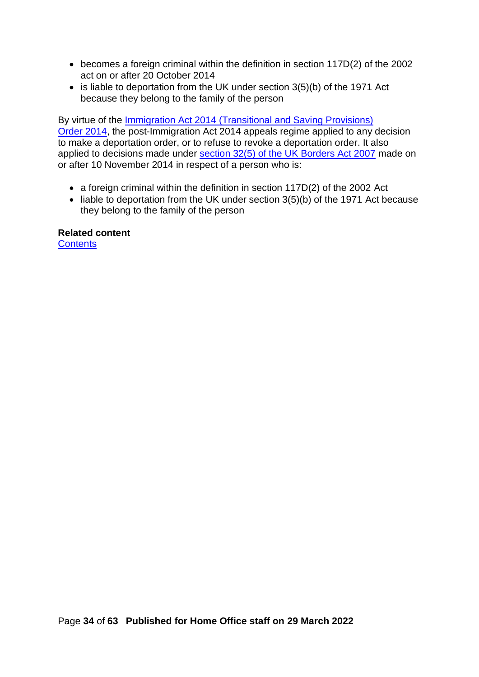- becomes a foreign criminal within the definition in section 117D(2) of the 2002 act on or after 20 October 2014
- is liable to deportation from the UK under section 3(5)(b) of the 1971 Act because they belong to the family of the person

By virtue of the [Immigration Act 2014 \(Transitional and Saving Provisions\)](https://www.legislation.gov.uk/uksi/2014/2928/contents/made) [Order 2014,](https://www.legislation.gov.uk/uksi/2014/2928/contents/made) the post-Immigration Act 2014 appeals regime applied to any decision to make a deportation order, or to refuse to revoke a deportation order. It also applied to decisions made under [section 32\(5\) of the UK Borders Act 2007](http://www.legislation.gov.uk/ukpga/2007/30/section/32) made on or after 10 November 2014 in respect of a person who is:

- a foreign criminal within the definition in section 117D(2) of the 2002 Act
- liable to deportation from the UK under section 3(5)(b) of the 1971 Act because they belong to the family of the person

#### **Related content**

**[Contents](#page-1-0)**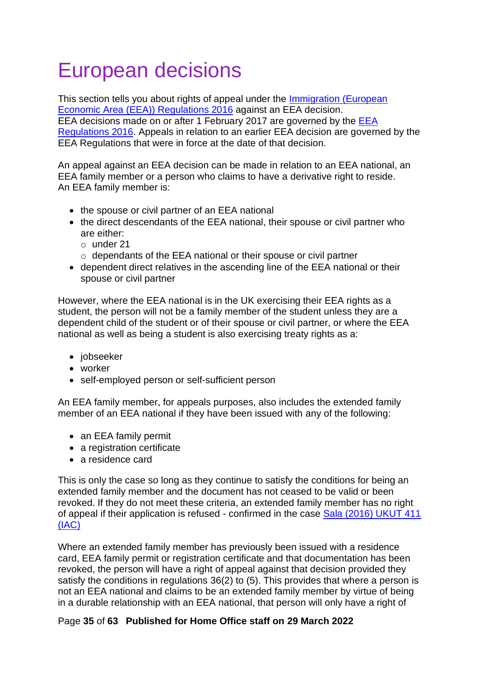# <span id="page-34-0"></span>European decisions

This section tells you about rights of appeal under the [Immigration \(European](http://www.legislation.gov.uk/uksi/2016/1052/contents/made)  Economic Area [\(EEA\)\) Regulations 2016](http://www.legislation.gov.uk/uksi/2016/1052/contents/made) against an EEA decision. EEA decisions made on or after 1 February 2017 are governed by the [EEA](http://www.legislation.gov.uk/uksi/2016/1052/contents/made)  [Regulations 2016.](http://www.legislation.gov.uk/uksi/2016/1052/contents/made) Appeals in relation to an earlier EEA decision are governed by the EEA Regulations that were in force at the date of that decision.

An appeal against an EEA decision can be made in relation to an EEA national, an EEA family member or a person who claims to have a derivative right to reside. An EEA family member is:

- the spouse or civil partner of an EEA national
- the direct descendants of the EEA national, their spouse or civil partner who are either:
	- o under 21
	- o dependants of the EEA national or their spouse or civil partner
- dependent direct relatives in the ascending line of the EEA national or their spouse or civil partner

However, where the EEA national is in the UK exercising their EEA rights as a student, the person will not be a family member of the student unless they are a dependent child of the student or of their spouse or civil partner, or where the EEA national as well as being a student is also exercising treaty rights as a:

- jobseeker
- worker
- self-employed person or self-sufficient person

An EEA family member, for appeals purposes, also includes the extended family member of an EEA national if they have been issued with any of the following:

- an EEA family permit
- a registration certificate
- a residence card

This is only the case so long as they continue to satisfy the conditions for being an extended family member and the document has not ceased to be valid or been revoked. If they do not meet these criteria, an extended family member has no right of appeal if their application is refused - confirmed in the case [Sala \(2016\) UKUT 411](http://www.bailii.org/uk/cases/UKUT/IAC/2016/411.html)  [\(IAC\)](http://www.bailii.org/uk/cases/UKUT/IAC/2016/411.html)

Where an extended family member has previously been issued with a residence card, EEA family permit or registration certificate and that documentation has been revoked, the person will have a right of appeal against that decision provided they satisfy the conditions in regulations 36(2) to (5). This provides that where a person is not an EEA national and claims to be an extended family member by virtue of being in a durable relationship with an EEA national, that person will only have a right of

#### Page **35** of **63 Published for Home Office staff on 29 March 2022**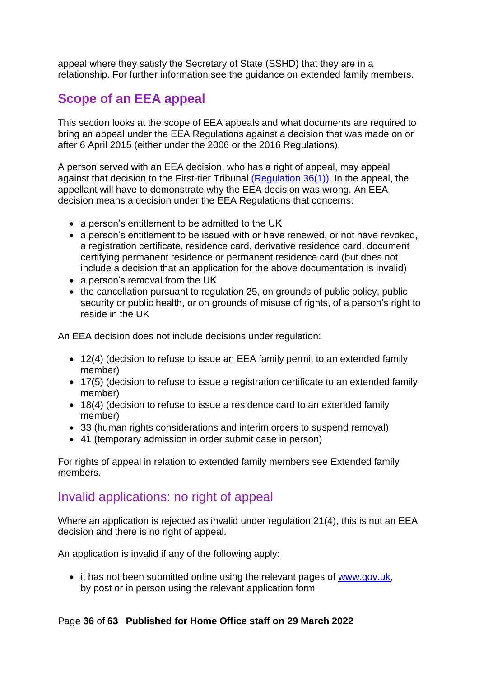appeal where they satisfy the Secretary of State (SSHD) that they are in a relationship. For further information see the guidance on extended family members.

# <span id="page-35-0"></span>**Scope of an EEA appeal**

This section looks at the scope of EEA appeals and what documents are required to bring an appeal under the EEA Regulations against a decision that was made on or after 6 April 2015 (either under the 2006 or the 2016 Regulations).

A person served with an EEA decision, who has a right of appeal, may appeal against that decision to the First-tier Tribunal [\(Regulation](http://www.legislation.gov.uk/uksi/2016/1052/contents/made) 36(1)). In the appeal, the appellant will have to demonstrate why the EEA decision was wrong. An EEA decision means a decision under the EEA Regulations that concerns:

- a person's entitlement to be admitted to the UK
- a person's entitlement to be issued with or have renewed, or not have revoked, a registration certificate, residence card, derivative residence card, document certifying permanent residence or permanent residence card (but does not include a decision that an application for the above documentation is invalid)
- a person's removal from the UK
- the cancellation pursuant to regulation 25, on grounds of public policy, public security or public health, or on grounds of misuse of rights, of a person's right to reside in the UK

An EEA decision does not include decisions under regulation:

- 12(4) (decision to refuse to issue an EEA family permit to an extended family member)
- 17(5) (decision to refuse to issue a registration certificate to an extended family member)
- 18(4) (decision to refuse to issue a residence card to an extended family member)
- 33 (human rights considerations and interim orders to suspend removal)
- 41 (temporary admission in order submit case in person)

For rights of appeal in relation to extended family members see Extended family members.

# <span id="page-35-1"></span>Invalid applications: no right of appeal

Where an application is rejected as invalid under regulation 21(4), this is not an EEA decision and there is no right of appeal.

An application is invalid if any of the following apply:

• it has not been submitted online using the relevant pages of [www.gov.uk,](http://www.gov.uk/) by post or in person using the relevant application form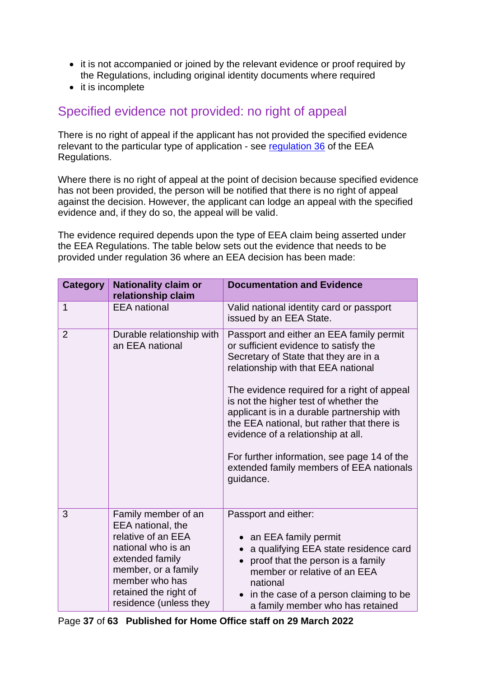- it is not accompanied or joined by the relevant evidence or proof required by the Regulations, including original identity documents where required
- it is incomplete

## <span id="page-36-0"></span>Specified evidence not provided: no right of appeal

There is no right of appeal if the applicant has not provided the specified evidence relevant to the particular type of application - see [regulation 36](http://www.legislation.gov.uk/uksi/2016/1052/regulation/36/made) of the EEA Regulations.

Where there is no right of appeal at the point of decision because specified evidence has not been provided, the person will be notified that there is no right of appeal against the decision. However, the applicant can lodge an appeal with the specified evidence and, if they do so, the appeal will be valid.

The evidence required depends upon the type of EEA claim being asserted under the EEA Regulations. The table below sets out the evidence that needs to be provided under regulation 36 where an EEA decision has been made:

| <b>Category</b> | <b>Nationality claim or</b><br>relationship claim                                                                                                                                                   | <b>Documentation and Evidence</b>                                                                                                                                                                                                                                                                                                                                                                                                                                                                   |
|-----------------|-----------------------------------------------------------------------------------------------------------------------------------------------------------------------------------------------------|-----------------------------------------------------------------------------------------------------------------------------------------------------------------------------------------------------------------------------------------------------------------------------------------------------------------------------------------------------------------------------------------------------------------------------------------------------------------------------------------------------|
| $\mathbf 1$     | <b>EEA</b> national                                                                                                                                                                                 | Valid national identity card or passport<br>issued by an EEA State.                                                                                                                                                                                                                                                                                                                                                                                                                                 |
| $\overline{2}$  | Durable relationship with<br>an EEA national                                                                                                                                                        | Passport and either an EEA family permit<br>or sufficient evidence to satisfy the<br>Secretary of State that they are in a<br>relationship with that EEA national<br>The evidence required for a right of appeal<br>is not the higher test of whether the<br>applicant is in a durable partnership with<br>the EEA national, but rather that there is<br>evidence of a relationship at all.<br>For further information, see page 14 of the<br>extended family members of EEA nationals<br>guidance. |
| 3               | Family member of an<br>EEA national, the<br>relative of an EEA<br>national who is an<br>extended family<br>member, or a family<br>member who has<br>retained the right of<br>residence (unless they | Passport and either:<br>• an EEA family permit<br>a qualifying EEA state residence card<br>proof that the person is a family<br>$\bullet$<br>member or relative of an EEA<br>national<br>in the case of a person claiming to be<br>a family member who has retained                                                                                                                                                                                                                                 |

Page **37** of **63 Published for Home Office staff on 29 March 2022**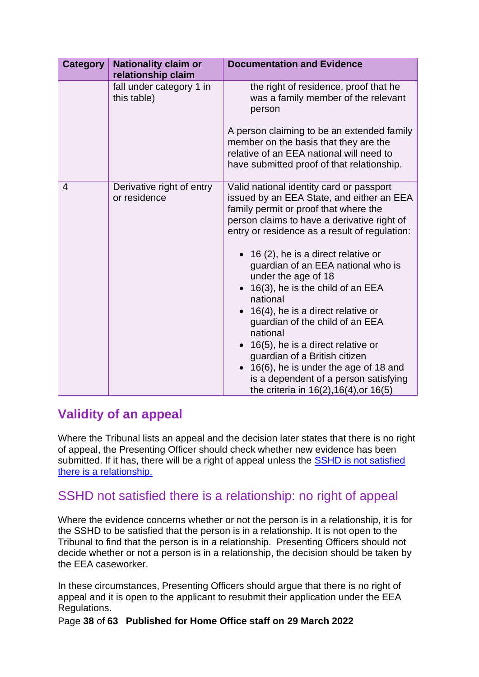| <b>Category</b> | <b>Nationality claim or</b><br>relationship claim | <b>Documentation and Evidence</b>                                                                                                                                                                                                                                                                                                                                                                                                                                                                                                                                                                                                                                                |
|-----------------|---------------------------------------------------|----------------------------------------------------------------------------------------------------------------------------------------------------------------------------------------------------------------------------------------------------------------------------------------------------------------------------------------------------------------------------------------------------------------------------------------------------------------------------------------------------------------------------------------------------------------------------------------------------------------------------------------------------------------------------------|
|                 | fall under category 1 in<br>this table)           | the right of residence, proof that he<br>was a family member of the relevant<br>person                                                                                                                                                                                                                                                                                                                                                                                                                                                                                                                                                                                           |
|                 |                                                   | A person claiming to be an extended family<br>member on the basis that they are the<br>relative of an EEA national will need to<br>have submitted proof of that relationship.                                                                                                                                                                                                                                                                                                                                                                                                                                                                                                    |
| $\overline{4}$  | Derivative right of entry<br>or residence         | Valid national identity card or passport<br>issued by an EEA State, and either an EEA<br>family permit or proof that where the<br>person claims to have a derivative right of<br>entry or residence as a result of regulation:<br>$\bullet$ 16 (2), he is a direct relative or<br>guardian of an EEA national who is<br>under the age of 18<br>16(3), he is the child of an EEA<br>national<br>16(4), he is a direct relative or<br>guardian of the child of an EEA<br>national<br>16(5), he is a direct relative or<br>guardian of a British citizen<br>16(6), he is under the age of 18 and<br>is a dependent of a person satisfying<br>the criteria in 16(2), 16(4), or 16(5) |

# <span id="page-37-0"></span>**Validity of an appeal**

Where the Tribunal lists an appeal and the decision later states that there is no right of appeal, the Presenting Officer should check whether new evidence has been submitted. If it has, there will be a right of appeal unless the [SSHD is not satisfied](#page-37-1) [there is a relationship.](#page-37-1)

# <span id="page-37-1"></span>SSHD not satisfied there is a relationship: no right of appeal

Where the evidence concerns whether or not the person is in a relationship, it is for the SSHD to be satisfied that the person is in a relationship. It is not open to the Tribunal to find that the person is in a relationship. Presenting Officers should not decide whether or not a person is in a relationship, the decision should be taken by the EEA caseworker.

In these circumstances, Presenting Officers should argue that there is no right of appeal and it is open to the applicant to resubmit their application under the EEA Regulations.

Page **38** of **63 Published for Home Office staff on 29 March 2022**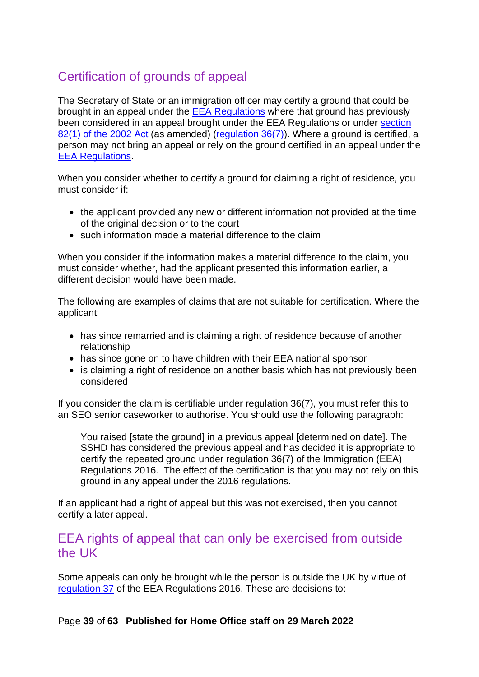# <span id="page-38-0"></span>Certification of grounds of appeal

The Secretary of State or an immigration officer may certify a ground that could be brought in an appeal under the [EEA Regulations](http://www.legislation.gov.uk/uksi/2016/1052/contents/made) where that ground has previously been considered in an appeal brought under the EEA Regulations or under [section](http://www.legislation.gov.uk/ukpga/2002/41/section/82)  [82\(1\) of the 2002 Act](http://www.legislation.gov.uk/ukpga/2002/41/section/82) (as amended) [\(regulation 36\(7\)\)](http://www.legislation.gov.uk/uksi/2016/1052/regulation/36/made). Where a ground is certified, a person may not bring an appeal or rely on the ground certified in an appeal under the [EEA Regulations.](http://www.legislation.gov.uk/uksi/2016/1052/contents/made)

When you consider whether to certify a ground for claiming a right of residence, you must consider if:

- the applicant provided any new or different information not provided at the time of the original decision or to the court
- such information made a material difference to the claim

When you consider if the information makes a material difference to the claim, you must consider whether, had the applicant presented this information earlier, a different decision would have been made.

The following are examples of claims that are not suitable for certification. Where the applicant:

- has since remarried and is claiming a right of residence because of another relationship
- has since gone on to have children with their EEA national sponsor
- is claiming a right of residence on another basis which has not previously been considered

If you consider the claim is certifiable under regulation 36(7), you must refer this to an SEO senior caseworker to authorise. You should use the following paragraph:

You raised [state the ground] in a previous appeal [determined on date]. The SSHD has considered the previous appeal and has decided it is appropriate to certify the repeated ground under regulation 36(7) of the Immigration (EEA) Regulations 2016. The effect of the certification is that you may not rely on this ground in any appeal under the 2016 regulations.

If an applicant had a right of appeal but this was not exercised, then you cannot certify a later appeal.

### <span id="page-38-1"></span>EEA rights of appeal that can only be exercised from outside the UK

Some appeals can only be brought while the person is outside the UK by virtue of [regulation 37](http://www.legislation.gov.uk/uksi/2016/1052/regulation/37/made) of the EEA Regulations 2016. These are decisions to: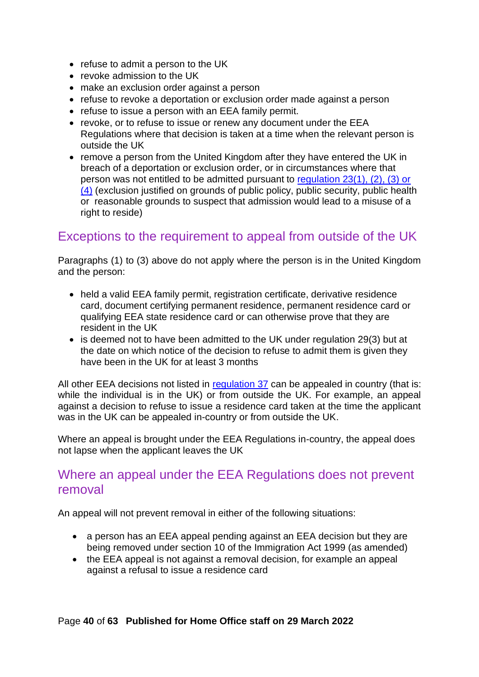- refuse to admit a person to the UK
- revoke admission to the UK
- make an exclusion order against a person
- refuse to revoke a deportation or exclusion order made against a person
- refuse to issue a person with an EEA family permit.
- revoke, or to refuse to issue or renew any document under the EEA Regulations where that decision is taken at a time when the relevant person is outside the UK
- remove a person from the United Kingdom after they have entered the UK in breach of a deportation or exclusion order, or in circumstances where that person was not entitled to be admitted pursuant to [regulation 23\(1\), \(2\), \(3\) or](http://www.legislation.gov.uk/uksi/2016/1052/contents/made)  [\(4\)](http://www.legislation.gov.uk/uksi/2016/1052/contents/made) (exclusion justified on grounds of public policy, public security, public health or reasonable grounds to suspect that admission would lead to a misuse of a right to reside)

# <span id="page-39-0"></span>Exceptions to the requirement to appeal from outside of the UK

Paragraphs (1) to (3) above do not apply where the person is in the United Kingdom and the person:

- held a valid EEA family permit, registration certificate, derivative residence card, document certifying permanent residence, permanent residence card or qualifying EEA state residence card or can otherwise prove that they are resident in the UK
- is deemed not to have been admitted to the UK under [regulation 29\(3\)](http://www.legislation.gov.uk/uksi/2016/1052/contents/made) but at the date on which notice of the decision to refuse to admit them is given they have been in the UK for at least 3 months

All other EEA decisions not listed in [regulation 37](http://www.legislation.gov.uk/uksi/2016/1052/contents/made) can be appealed in country (that is: while the individual is in the UK) or from outside the UK. For example, an appeal against a decision to refuse to issue a residence card taken at the time the applicant was in the UK can be appealed in-country or from outside the UK.

Where an appeal is brought under the EEA Regulations in-country, the appeal does not lapse when the applicant leaves the UK

### <span id="page-39-1"></span>Where an appeal under the EEA Regulations does not prevent removal

An appeal will not prevent removal in either of the following situations:

- a person has an EEA appeal pending against an EEA decision but they are being removed under section 10 of the Immigration Act 1999 (as amended)
- the EEA appeal is not against a removal decision, for example an appeal against a refusal to issue a residence card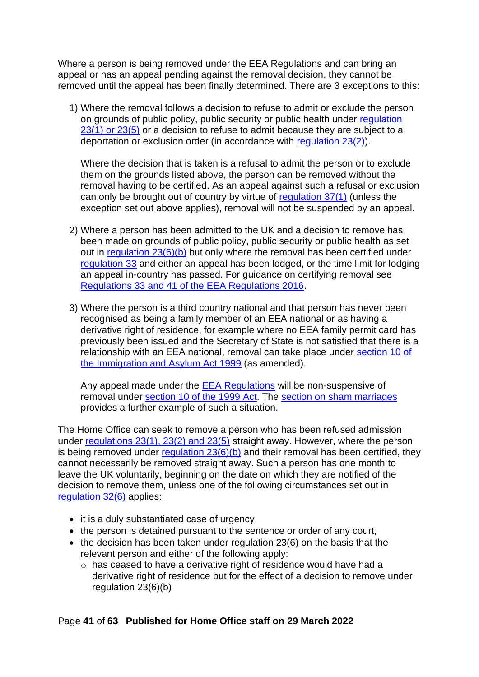Where a person is being removed under the EEA Regulations and can bring an appeal or has an appeal pending against the removal decision, they cannot be removed until the appeal has been finally determined. There are 3 exceptions to this:

1) Where the removal follows a decision to refuse to admit or exclude the person on grounds of public policy, public security or public health under [regulation](http://www.legislation.gov.uk/uksi/2016/1052/regulation/23/made)  [23\(1\) or 23\(5\)](http://www.legislation.gov.uk/uksi/2016/1052/regulation/23/made) or a decision to refuse to admit because they are subject to a deportation or exclusion order (in accordance with [regulation 23\(2\)\)](http://www.legislation.gov.uk/uksi/2016/1052/regulation/23/made).

Where the decision that is taken is a refusal to admit the person or to exclude them on the grounds listed above, the person can be removed without the removal having to be certified. As an appeal against such a refusal or exclusion can only be brought out of country by virtue of [regulation 37\(1\)](http://www.legislation.gov.uk/uksi/2016/1052/regulation/37/made) (unless the exception set out above applies), removal will not be suspended by an appeal.

- 2) Where a person has been admitted to the UK and a decision to remove has been made on grounds of public policy, public security or public health as set out in [regulation 23\(6\)\(b\)](http://www.legislation.gov.uk/uksi/2016/1052/regulation/23/made) but only where the removal has been certified under [regulation 33](http://www.legislation.gov.uk/uksi/2016/1052/regulation/33/made) and either an appeal has been lodged, or the time limit for lodging an appeal in-country has passed. For guidance on certifying removal see [Regulations 33 and 41 of the EEA Regulations 2016.](https://www.gov.uk/government/publications/certification-guidance-for-non-suspensive-appeals-eea-deportation)
- 3) Where the person is a third country national and that person has never been recognised as being a family member of an EEA national or as having a derivative right of residence, for example where no EEA family permit card has previously been issued and the Secretary of State is not satisfied that there is a relationship with an EEA national, removal can take place under [section 10 of](http://www.legislation.gov.uk/ukpga/1999/33/section/10)  [the Immigration and Asylum Act 1999](http://www.legislation.gov.uk/ukpga/1999/33/section/10) (as amended).

Any appeal made under the [EEA Regulations](http://www.legislation.gov.uk/uksi/2016/1052/contents/made) will be non-suspensive of removal under [section 10 of the 1999 Act.](http://www.legislation.gov.uk/ukpga/1999/33/section/10) The [section on sham marriages](#page-40-0) provides a further example of such a situation.

The Home Office can seek to remove a person who has been refused admission under [regulations 23\(1\), 23\(2\) and 23\(5\)](http://www.legislation.gov.uk/uksi/2016/1052/regulation/23/made) straight away. However, where the person is being removed under regulation  $23(6)(b)$  and their removal has been certified, they cannot necessarily be removed straight away. Such a person has one month to leave the UK voluntarily, beginning on the date on which they are notified of the decision to remove them, unless one of the following circumstances set out in [regulation 32\(6\)](http://www.legislation.gov.uk/uksi/2016/1052/regulation/32/made) applies:

- it is a duly substantiated case of urgency
- the person is detained pursuant to the sentence or order of any court,
- <span id="page-40-0"></span>• the decision has been taken under [regulation 23\(6\)](http://www.legislation.gov.uk/uksi/2016/1052/regulation/23/made) on the basis that the relevant person and either of the following apply:
	- o has ceased to have a derivative right of residence would have had a derivative right of residence but for the effect of a decision to remove under [regulation 23\(6\)\(b\)](http://www.legislation.gov.uk/uksi/2016/1052/regulation/23/made)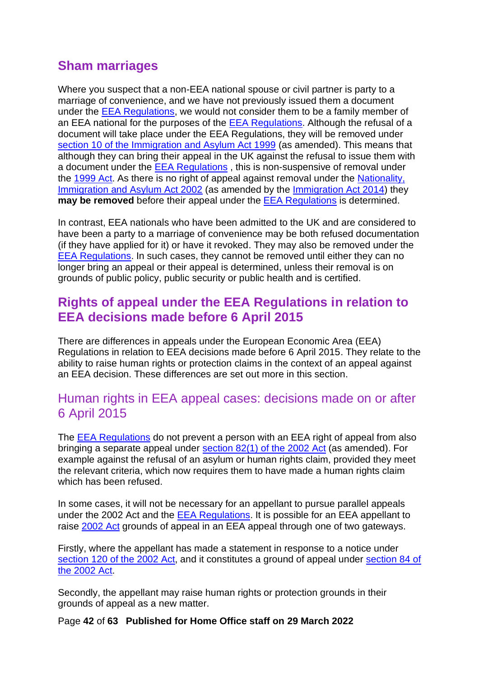# <span id="page-41-0"></span>**Sham marriages**

Where you suspect that a non-EEA national spouse or civil partner is party to a marriage of convenience, and we have not previously issued them a document under the [EEA Regulations,](http://www.legislation.gov.uk/uksi/2016/1052/contents/made) we would not consider them to be a family member of an EEA national for the purposes of the [EEA Regulations.](http://www.legislation.gov.uk/uksi/2016/1052/contents/made) Although the refusal of a document will take place under the EEA Regulations, they will be removed under [section 10 of the Immigration and Asylum Act 1999](http://www.legislation.gov.uk/ukpga/1999/33/section/10) (as amended). This means that although they can bring their appeal in the UK against the refusal to issue them with a document under the **[EEA Regulations](http://www.legislation.gov.uk/uksi/2016/1052/contents/made)**, this is non-suspensive of removal under the [1999 Act.](http://www.legislation.gov.uk/ukpga/1999/33/contents) As there is no right of appeal against removal under the [Nationality,](http://www.legislation.gov.uk/ukpga/2002/41/section/82)  [Immigration and Asylum Act 2002](http://www.legislation.gov.uk/ukpga/2002/41/section/82) (as amended by the [Immigration Act 2014\)](http://www.legislation.gov.uk/ukpga/2014/22/contents/enacted/data.htm) they **may be removed** before their appeal under the **EEA** Regulations is determined.

In contrast, EEA nationals who have been admitted to the UK and are considered to have been a party to a marriage of convenience may be both refused documentation (if they have applied for it) or have it revoked. They may also be removed under the [EEA Regulations.](http://www.legislation.gov.uk/uksi/2016/1052/contents/made) In such cases, they cannot be removed until either they can no longer bring an appeal or their appeal is determined, unless their removal is on grounds of public policy, public security or public health and is certified.

## <span id="page-41-1"></span>**Rights of appeal under the EEA Regulations in relation to EEA decisions made before 6 April 2015**

There are differences in appeals under the European Economic Area (EEA) Regulations in relation to EEA decisions made before 6 April 2015. They relate to the ability to raise human rights or protection claims in the context of an appeal against an EEA decision. These differences are set out more in this section.

## <span id="page-41-2"></span>Human rights in EEA appeal cases: decisions made on or after 6 April 2015

The [EEA Regulations](http://www.legislation.gov.uk/uksi/2016/1052/contents/made) do not prevent a person with an EEA right of appeal from also bringing a separate appeal under [section](http://www.legislation.gov.uk/ukpga/2002/41/section/82) 82(1) of the 2002 Act (as amended). For example against the refusal of an asylum or human rights claim, provided they meet the relevant criteria, which now requires them to have made a human rights claim which has been refused.

In some cases, it will not be necessary for an appellant to pursue parallel appeals under the 2002 Act and the [EEA Regulations.](http://www.legislation.gov.uk/uksi/2016/1052/contents/made) It is possible for an EEA appellant to raise [2002 Act](http://www.legislation.gov.uk/ukpga/2002/41/contents) grounds of appeal in an EEA appeal through one of two gateways.

Firstly, where the appellant has made a statement in response to a notice under section [120 of the 2002 Act,](http://www.legislation.gov.uk/ukpga/2002/41/section/120) and it constitutes a ground of appeal under [section 84 of](http://www.legislation.gov.uk/ukpga/2002/41/section/84)  [the 2002 Act.](http://www.legislation.gov.uk/ukpga/2002/41/section/84)

Secondly, the appellant may raise human rights or protection grounds in their grounds of appeal as a new matter.

Page **42** of **63 Published for Home Office staff on 29 March 2022**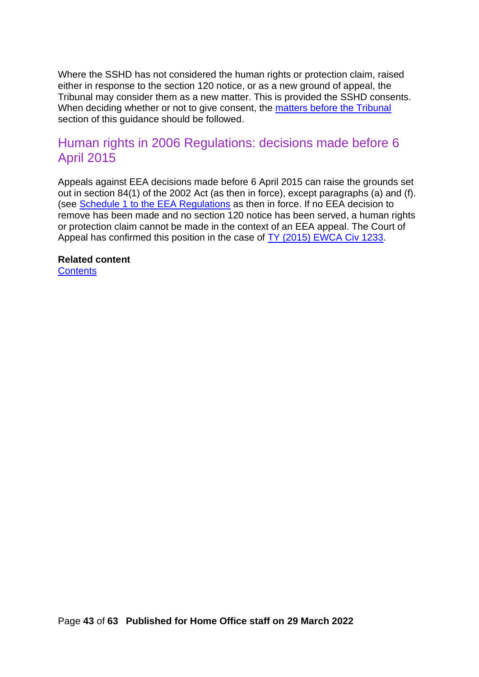Where the SSHD has not considered the human rights or protection claim, raised either in response to the section 120 notice, or as a new ground of appeal, the Tribunal may consider them as a new matter. This is provided the SSHD consents. When deciding whether or not to give consent, the matters before the Tribunal section of this guidance should be followed.

## <span id="page-42-0"></span>Human rights in 2006 Regulations: decisions made before 6 April 2015

Appeals against EEA decisions made before 6 April 2015 can raise the grounds set out in section 84(1) of the 2002 Act (as then in force), except paragraphs (a) and (f). (see [Schedule 1 to the EEA Regulations](http://www.legislation.gov.uk/uksi/2006/1003/schedule/1/made) as then in force. If no EEA decision to remove has been made and no section 120 notice has been served, a human rights or protection claim cannot be made in the context of an EEA appeal. The Court of Appeal has confirmed this position in the case of [TY \(2015\) EWCA Civ 1233.](http://www.bailii.org/ew/cases/EWCA/Civ/2015/1233.html)

### **Related content**

**[Contents](#page-1-0)**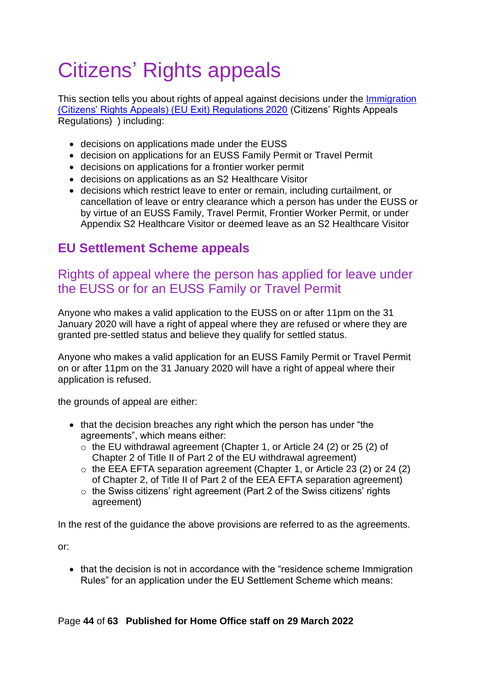# <span id="page-43-0"></span>Citizens' Rights appeals

This section tells you about rights of appeal against decisions under the Immigration [\(Citizens' Rights Appeals\) \(EU Exit\) Regulations 2020](https://www.legislation.gov.uk/uksi/2020/61/contents/made) (Citizens' Rights Appeals Regulations) ) including:

- decisions on applications made under the EUSS
- decision on applications for an EUSS Family Permit or Travel Permit
- decisions on applications for a frontier worker permit
- decisions on applications as an S2 Healthcare Visitor
- decisions which restrict leave to enter or remain, including curtailment, or cancellation of leave or entry clearance which a person has under the EUSS or by virtue of an EUSS Family, Travel Permit, Frontier Worker Permit, or under Appendix S2 Healthcare Visitor or deemed leave as an S2 Healthcare Visitor

# <span id="page-43-1"></span>**EU Settlement Scheme appeals**

# <span id="page-43-2"></span>Rights of appeal where the person has applied for leave under the EUSS or for an EUSS Family or Travel Permit

Anyone who makes a valid application to the EUSS on or after 11pm on the 31 January 2020 will have a right of appeal where they are refused or where they are granted pre-settled status and believe they qualify for settled status.

Anyone who makes a valid application for an EUSS Family Permit or Travel Permit on or after 11pm on the 31 January 2020 will have a right of appeal where their application is refused.

the grounds of appeal are either:

- that the decision breaches any right which the person has under "the agreements", which means either:
	- o the EU withdrawal agreement (Chapter 1, or Article 24 (2) or 25 (2) of Chapter 2 of Title II of Part 2 of the EU withdrawal agreement)
	- o the EEA EFTA separation agreement (Chapter 1, or Article 23 (2) or 24 (2) of Chapter 2, of Title II of Part 2 of the EEA EFTA separation agreement)
	- o the Swiss citizens' right agreement (Part 2 of the Swiss citizens' rights agreement)

In the rest of the guidance the above provisions are referred to as the agreements.

or:

• that the decision is not in accordance with the "residence scheme Immigration Rules" for an application under the EU Settlement Scheme which means: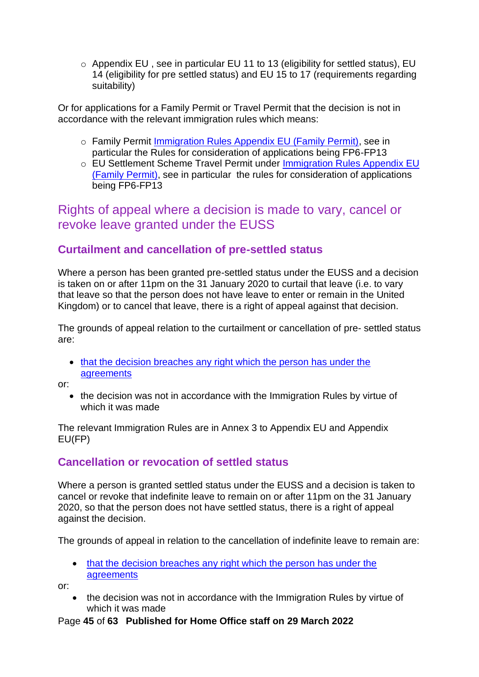o [Appendix EU](https://www.gov.uk/guidance/immigration-rules/immigration-rules-appendix-eu) , see in particular EU 11 to 13 (eligibility for settled status), EU 14 (eligibility for pre settled status) and EU 15 to 17 (requirements regarding suitability)

Or for applications for a Family Permit or Travel Permit that the decision is not in accordance with the relevant immigration rules which means:

- o Family Permit [Immigration Rules Appendix EU \(Family Permit\),](https://www.gov.uk/guidance/immigration-rules/appendix-eu-family-permit) see in particular the Rules for consideration of applications being FP6-FP13
- o EU Settlement Scheme Travel Permit under [Immigration Rules Appendix EU](https://www.gov.uk/guidance/immigration-rules/appendix-eu-family-permit)  [\(Family Permit\),](https://www.gov.uk/guidance/immigration-rules/appendix-eu-family-permit) see in particular the rules for consideration of applications being FP6-FP13

# <span id="page-44-0"></span>Rights of appeal where a decision is made to vary, cancel or revoke leave granted under the EUSS

### <span id="page-44-1"></span>**Curtailment and cancellation of pre-settled status**

Where a person has been granted pre-settled status under the EUSS and a decision is taken on or after 11pm on the 31 January 2020 to curtail that leave (i.e. to vary that leave so that the person does not have leave to enter or remain in the United Kingdom) or to cancel that leave, there is a right of appeal against that decision.

The grounds of appeal relation to the curtailment or cancellation of pre- settled status are:

• that the decision breaches any right which the person has under the [agreements](#page-43-1)

or:

• the decision was not in accordance with the Immigration Rules by virtue of which it was made

The relevant Immigration Rules are in Annex 3 to Appendix EU and Appendix EU(FP)

### <span id="page-44-2"></span>**Cancellation or revocation of settled status**

Where a person is granted settled status under the EUSS and a decision is taken to cancel or revoke that indefinite leave to remain on or after 11pm on the 31 January 2020, so that the person does not have settled status, there is a right of appeal against the decision.

The grounds of appeal in relation to the cancellation of indefinite leave to remain are:

• that the decision breaches any right which the person has under the [agreements](#page-43-1)

or:

• the decision was not in accordance with the Immigration Rules by virtue of which it was made

Page **45** of **63 Published for Home Office staff on 29 March 2022**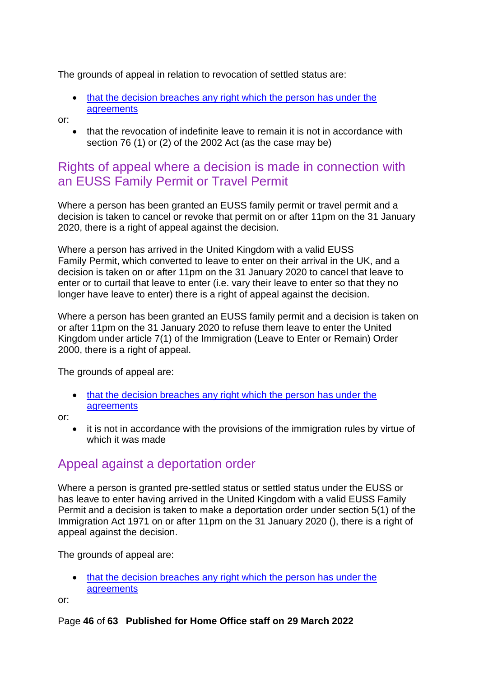The grounds of appeal in relation to revocation of settled status are:

• that the decision breaches any right which the person has under the [agreements](#page-43-1)

or:

• that the revocation of indefinite leave to remain it is not in accordance with section 76 (1) or (2) of the 2002 Act (as the case may be)

# <span id="page-45-0"></span>Rights of appeal where a decision is made in connection with an EUSS Family Permit or Travel Permit

Where a person has been granted an EUSS family permit or travel permit and a decision is taken to cancel or revoke that permit on or after 11pm on the 31 January 2020, there is a right of appeal against the decision.

Where a person has arrived in the United Kingdom with a valid EUSS Family Permit, which converted to leave to enter on their arrival in the UK, and a decision is taken on or after 11pm on the 31 January 2020 to cancel that leave to enter or to curtail that leave to enter (i.e. vary their leave to enter so that they no longer have leave to enter) there is a right of appeal against the decision.

Where a person has been granted an EUSS family permit and a decision is taken on or after 11pm on the 31 January 2020 to refuse them leave to enter the United Kingdom under article 7(1) of the Immigration (Leave to Enter or Remain) Order 2000, there is a right of appeal.

The grounds of appeal are:

• that the decision breaches any right which the person has under the [agreements](#page-43-1)

or:

• it is not in accordance with the provisions of the immigration rules by virtue of which it was made

# <span id="page-45-1"></span>Appeal against a deportation order

Where a person is granted pre-settled status or settled status under the EUSS or has leave to enter having arrived in the United Kingdom with a valid EUSS Family Permit and a decision is taken to make a deportation order under section 5(1) of the Immigration Act 1971 on or after 11pm on the 31 January 2020 (), there is a right of appeal against the decision.

The grounds of appeal are:

• that the decision breaches any right which the person has under the [agreements](#page-43-1)

or:

### Page **46** of **63 Published for Home Office staff on 29 March 2022**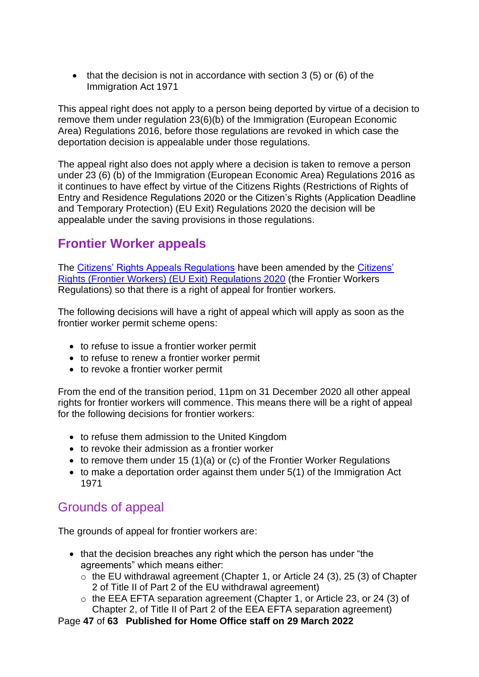• that the decision is not in accordance with section 3 (5) or (6) of the Immigration Act 1971

This appeal right does not apply to a person being deported by virtue of a decision to remove them under regulation 23(6)(b) of the Immigration (European Economic Area) Regulations 2016, before those regulations are revoked in which case the deportation decision is appealable under those regulations.

The appeal right also does not apply where a decision is taken to remove a person under 23 (6) (b) of the Immigration (European Economic Area) Regulations 2016 as it continues to have effect by virtue of the Citizens Rights (Restrictions of Rights of Entry and Residence Regulations 2020 or the Citizen's Rights (Application Deadline and Temporary Protection) (EU Exit) Regulations 2020 the decision will be appealable under the saving provisions in those regulations.

# <span id="page-46-0"></span>**Frontier Worker appeals**

The [Citizens' Rights Appeals Regulations](https://www.legislation.gov.uk/uksi/2020/61/contents/made) have been amended by the Citizens' [Rights \(Frontier Workers\) \(EU Exit\) Regulations 2020](https://www.legislation.gov.uk/ukdsi/2020/9780348212228) (the Frontier Workers Regulations) so that there is a right of appeal for frontier workers.

The following decisions will have a right of appeal which will apply as soon as the frontier worker permit scheme opens:

- to refuse to issue a frontier worker permit
- to refuse to renew a frontier worker permit
- to revoke a frontier worker permit

From the end of the transition period, 11pm on 31 December 2020 all other appeal rights for frontier workers will commence. This means there will be a right of appeal for the following decisions for frontier workers:

- to refuse them admission to the United Kingdom
- to revoke their admission as a frontier worker
- to remove them under 15 (1)(a) or (c) of the Frontier Worker Regulations
- to make a deportation order against them under 5(1) of the Immigration Act 1971

# <span id="page-46-1"></span>Grounds of appeal

The grounds of appeal for frontier workers are:

- that the decision breaches any right which the person has under "the agreements" which means either:
	- o the EU withdrawal agreement (Chapter 1, or Article 24 (3), 25 (3) of Chapter 2 of Title II of Part 2 of the EU withdrawal agreement)
	- o the EEA EFTA separation agreement (Chapter 1, or Article 23, or 24 (3) of Chapter 2, of Title II of Part 2 of the EEA EFTA separation agreement)

Page **47** of **63 Published for Home Office staff on 29 March 2022**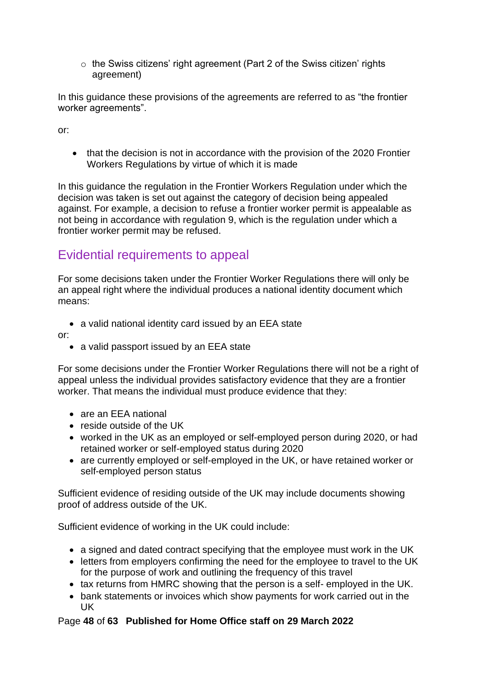o the Swiss citizens' right agreement (Part 2 of the Swiss citizen' rights agreement)

In this guidance these provisions of the agreements are referred to as "the frontier worker agreements".

or:

• that the decision is not in accordance with the provision of the 2020 Frontier Workers Regulations by virtue of which it is made

In this guidance the regulation in the Frontier Workers Regulation under which the decision was taken is set out against the category of decision being appealed against. For example, a decision to refuse a frontier worker permit is appealable as not being in accordance with regulation 9, which is the regulation under which a frontier worker permit may be refused.

# <span id="page-47-0"></span>Evidential requirements to appeal

For some decisions taken under the Frontier Worker Regulations there will only be an appeal right where the individual produces a national identity document which means:

• a valid national identity card issued by an EEA state

or:

• a valid passport issued by an EEA state

For some decisions under the Frontier Worker Regulations there will not be a right of appeal unless the individual provides satisfactory evidence that they are a frontier worker. That means the individual must produce evidence that they:

- are an EEA national
- reside outside of the UK
- worked in the UK as an employed or self-employed person during 2020, or had retained worker or self-employed status during 2020
- are currently employed or self-employed in the UK, or have retained worker or self-employed person status

Sufficient evidence of residing outside of the UK may include documents showing proof of address outside of the UK.

Sufficient evidence of working in the UK could include:

- a signed and dated contract specifying that the employee must work in the UK
- letters from employers confirming the need for the employee to travel to the UK for the purpose of work and outlining the frequency of this travel
- tax returns from HMRC showing that the person is a self- employed in the UK.
- bank statements or invoices which show payments for work carried out in the UK

### Page **48** of **63 Published for Home Office staff on 29 March 2022**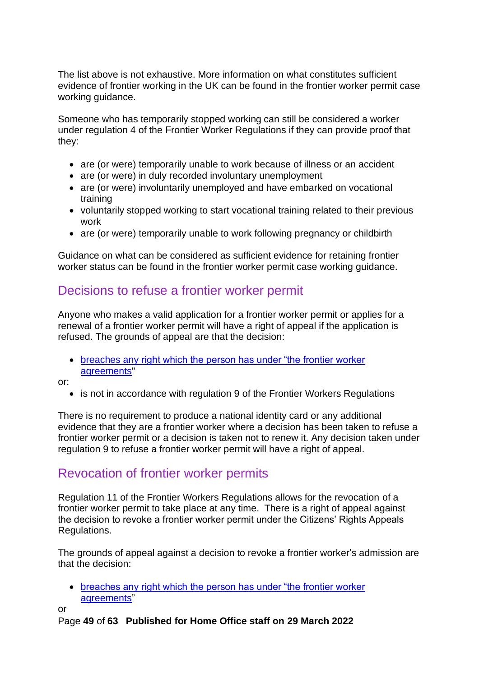The list above is not exhaustive. More information on what constitutes sufficient evidence of frontier working in the UK can be found in the frontier worker permit case working guidance.

Someone who has temporarily stopped working can still be considered a worker under regulation 4 of the Frontier Worker Regulations if they can provide proof that they:

- are (or were) temporarily unable to work because of illness or an accident
- are (or were) in duly recorded involuntary unemployment
- are (or were) involuntarily unemployed and have embarked on vocational training
- voluntarily stopped working to start vocational training related to their previous work
- are (or were) temporarily unable to work following pregnancy or childbirth

Guidance on what can be considered as sufficient evidence for retaining frontier worker status can be found in the frontier worker permit case working guidance.

# <span id="page-48-0"></span>Decisions to refuse a frontier worker permit

Anyone who makes a valid application for a frontier worker permit or applies for a renewal of a frontier worker permit will have a right of appeal if the application is refused. The grounds of appeal are that the decision:

• breaches any [right which the person has under "the frontier worker](#page-46-1)  [agreements"](#page-46-1)

or:

• is not in accordance with regulation 9 of the Frontier Workers Regulations

There is no requirement to produce a national identity card or any additional evidence that they are a frontier worker where a decision has been taken to refuse a frontier worker permit or a decision is taken not to renew it. Any decision taken under regulation 9 to refuse a frontier worker permit will have a right of appeal.

# <span id="page-48-1"></span>Revocation of frontier worker permits

Regulation 11 of the Frontier Workers Regulations allows for the revocation of a frontier worker permit to take place at any time. There is a right of appeal against the decision to revoke a frontier worker permit under the Citizens' Rights Appeals Regulations.

The grounds of appeal against a decision to revoke a frontier worker's admission are that the decision:

• breaches any right which the person has under "the frontier worker" [agreements"](#page-46-1)

or

Page **49** of **63 Published for Home Office staff on 29 March 2022**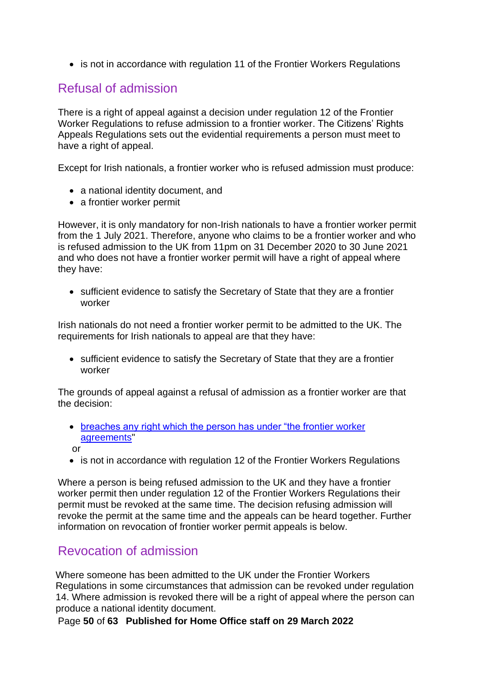• is not in accordance with regulation 11 of the Frontier Workers Regulations

# <span id="page-49-0"></span>Refusal of admission

There is a right of appeal against a decision under regulation 12 of the Frontier Worker Regulations to refuse admission to a frontier worker. The Citizens' Rights Appeals Regulations sets out the evidential requirements a person must meet to have a right of appeal.

Except for Irish nationals, a frontier worker who is refused admission must produce:

- a national identity document, and
- a frontier worker permit

However, it is only mandatory for non-Irish nationals to have a frontier worker permit from the 1 July 2021. Therefore, anyone who claims to be a frontier worker and who is refused admission to the UK from 11pm on 31 December 2020 to 30 June 2021 and who does not have a frontier worker permit will have a right of appeal where they have:

• sufficient evidence to satisfy the Secretary of State that they are a frontier worker

Irish nationals do not need a frontier worker permit to be admitted to the UK. The requirements for Irish nationals to appeal are that they have:

• sufficient evidence to satisfy the Secretary of State that they are a frontier worker

The grounds of appeal against a refusal of admission as a frontier worker are that the decision:

- [breaches any right which the person has under "the frontier worker](#page-46-1)  [agreements"](#page-46-1)
- or
- is not in accordance with regulation 12 of the Frontier Workers Regulations

Where a person is being refused admission to the UK and they have a frontier worker permit then under regulation 12 of the Frontier Workers Regulations their permit must be revoked at the same time. The decision refusing admission will revoke the permit at the same time and the appeals can be heard together. Further information on revocation of frontier worker permit appeals is below.

# <span id="page-49-1"></span>Revocation of admission

Where someone has been admitted to the UK under the Frontier Workers Regulations in some circumstances that admission can be revoked under regulation 14. Where admission is revoked there will be a right of appeal where the person can produce a national identity document.

Page **50** of **63 Published for Home Office staff on 29 March 2022**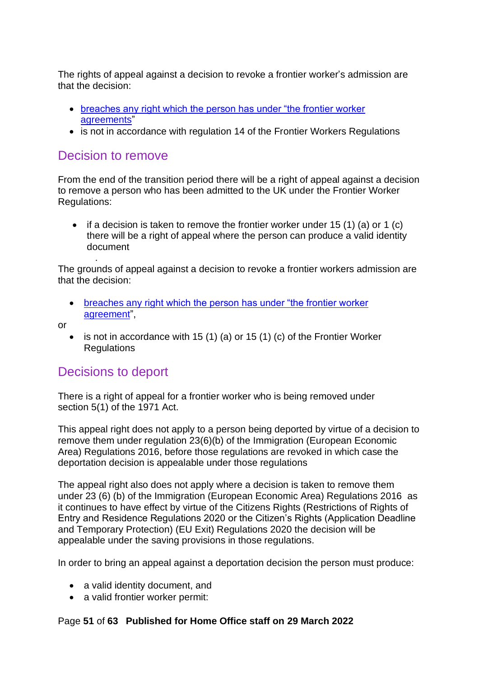The rights of appeal against a decision to revoke a frontier worker's admission are that the decision:

- [breaches any right which the person has under "the frontier worker](#page-46-1)  [agreements"](#page-46-1)
- is not in accordance with regulation 14 of the Frontier Workers Regulations

### <span id="page-50-0"></span>Decision to remove

.

From the end of the transition period there will be a right of appeal against a decision to remove a person who has been admitted to the UK under the Frontier Worker Regulations:

• if a decision is taken to remove the frontier worker under 15 (1) (a) or 1 (c) there will be a right of appeal where the person can produce a valid identity document

The grounds of appeal against a decision to revoke a frontier workers admission are that the decision:

• [breaches any right which the person has under "the frontier worker](#page-46-1)  [agreement"](#page-46-1),

or

is not in accordance with 15 (1) (a) or 15 (1) (c) of the Frontier Worker Regulations

# <span id="page-50-1"></span>Decisions to deport

There is a right of appeal for a frontier worker who is being removed under section 5(1) of the 1971 Act.

This appeal right does not apply to a person being deported by virtue of a decision to remove them under regulation 23(6)(b) of the Immigration (European Economic Area) Regulations 2016, before those regulations are revoked in which case the deportation decision is appealable under those regulations

The appeal right also does not apply where a decision is taken to remove them under 23 (6) (b) of the Immigration (European Economic Area) Regulations 2016 as it continues to have effect by virtue of the Citizens Rights (Restrictions of Rights of Entry and Residence Regulations 2020 or the Citizen's Rights (Application Deadline and Temporary Protection) (EU Exit) Regulations 2020 the decision will be appealable under the saving provisions in those regulations.

In order to bring an appeal against a deportation decision the person must produce:

- a valid identity document, and
- a valid frontier worker permit:

### Page **51** of **63 Published for Home Office staff on 29 March 2022**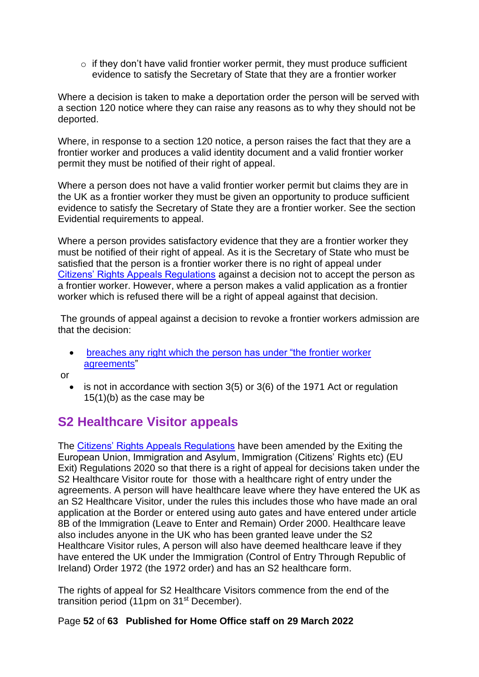$\circ$  if they don't have valid frontier worker permit, they must produce sufficient evidence to satisfy the Secretary of State that they are a frontier worker

Where a decision is taken to make a deportation order the person will be served with a section 120 notice where they can raise any reasons as to why they should not be deported.

Where, in response to a section 120 notice, a person raises the fact that they are a frontier worker and produces a valid identity document and a valid frontier worker permit they must be notified of their right of appeal.

Where a person does not have a valid frontier worker permit but claims they are in the UK as a frontier worker they must be given an opportunity to produce sufficient evidence to satisfy the Secretary of State they are a frontier worker. See the section Evidential requirements to appeal.

Where a person provides satisfactory evidence that they are a frontier worker they must be notified of their right of appeal. As it is the Secretary of State who must be satisfied that the person is a frontier worker there is no right of appeal under [Citizens' Rights Appeals Regulations](https://www.legislation.gov.uk/uksi/2020/61/contents/made) against a decision not to accept the person as a frontier worker. However, where a person makes a valid application as a frontier worker which is refused there will be a right of appeal against that decision.

The grounds of appeal against a decision to revoke a frontier workers admission are that the decision:

• [breaches any right which the person has under "the frontier worker](#page-46-1)  [agreements"](#page-46-1)

or

 $\bullet$  is not in accordance with section 3(5) or 3(6) of the 1971 Act or regulation 15(1)(b) as the case may be

# <span id="page-51-0"></span>**S2 Healthcare Visitor appeals**

The [Citizens' Rights Appeals Regulations](https://www.legislation.gov.uk/uksi/2020/61/contents/made) have been amended by the Exiting the European Union, Immigration and Asylum, Immigration (Citizens' Rights etc) (EU Exit) Regulations 2020 so that there is a right of appeal for decisions taken under the S2 Healthcare Visitor route for those with a healthcare right of entry under the agreements. A person will have healthcare leave where they have entered the UK as an S2 Healthcare Visitor, under the rules this includes those who have made an oral application at the Border or entered using auto gates and have entered under article 8B of the Immigration (Leave to Enter and Remain) Order 2000. Healthcare leave also includes anyone in the UK who has been granted leave under the S2 Healthcare Visitor rules, A person will also have deemed healthcare leave if they have entered the UK under the Immigration (Control of Entry Through Republic of Ireland) Order 1972 (the 1972 order) and has an S2 healthcare form.

The rights of appeal for S2 Healthcare Visitors commence from the end of the transition period (11pm on  $31<sup>st</sup>$  December).

### Page **52** of **63 Published for Home Office staff on 29 March 2022**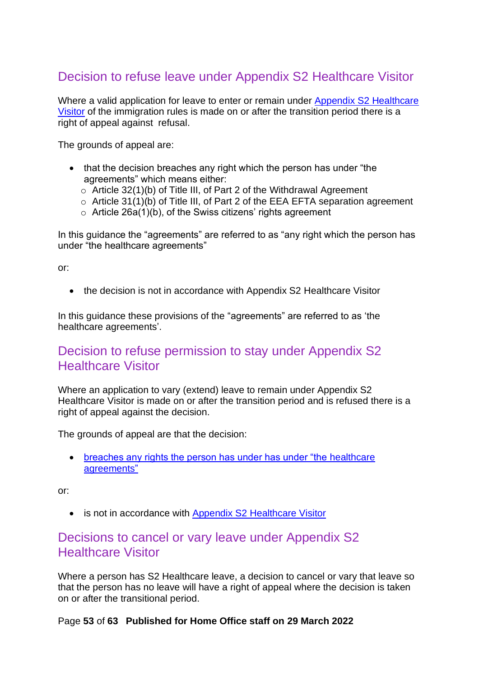# <span id="page-52-0"></span>Decision to refuse leave under Appendix S2 Healthcare Visitor

Where a valid application for leave to enter or remain under [Appendix S2](https://www.gov.uk/guidance/immigration-rules/immigration-rules-appendix-s2-healthcare-visitor) Healthcare [Visitor](https://www.gov.uk/guidance/immigration-rules/immigration-rules-appendix-s2-healthcare-visitor) of the immigration rules is made on or after the transition period there is a right of appeal against refusal.

The grounds of appeal are:

- that the decision breaches any right which the person has under "the agreements" which means either:
	- o Article 32(1)(b) of Title III, of Part 2 of the Withdrawal Agreement
	- o Article 31(1)(b) of Title III, of Part 2 of the EEA EFTA separation agreement
	- $\circ$  Article 26a(1)(b), of the Swiss citizens' rights agreement

In this guidance the "agreements" are referred to as "any right which the person has under "the healthcare agreements"

or:

• the decision is not in accordance with Appendix S2 Healthcare Visitor

In this guidance these provisions of the "agreements" are referred to as 'the healthcare agreements'.

### <span id="page-52-1"></span>Decision to refuse permission to stay under Appendix S2 Healthcare Visitor

Where an application to vary (extend) leave to remain under Appendix S2 Healthcare Visitor is made on or after the transition period and is refused there is a right of appeal against the decision.

The grounds of appeal are that the decision:

• [breaches any rights the person has under has under "the](#page-52-0) healthcare" [agreements"](#page-52-0)

or:

• is not in accordance with [Appendix S2 Healthcare Visitor](https://www.gov.uk/guidance/immigration-rules/immigration-rules-appendix-s2-healthcare-visitor)

### <span id="page-52-2"></span>Decisions to cancel or vary leave under Appendix S2 Healthcare Visitor

Where a person has S2 Healthcare leave, a decision to cancel or vary that leave so that the person has no leave will have a right of appeal where the decision is taken on or after the transitional period.

Page **53** of **63 Published for Home Office staff on 29 March 2022**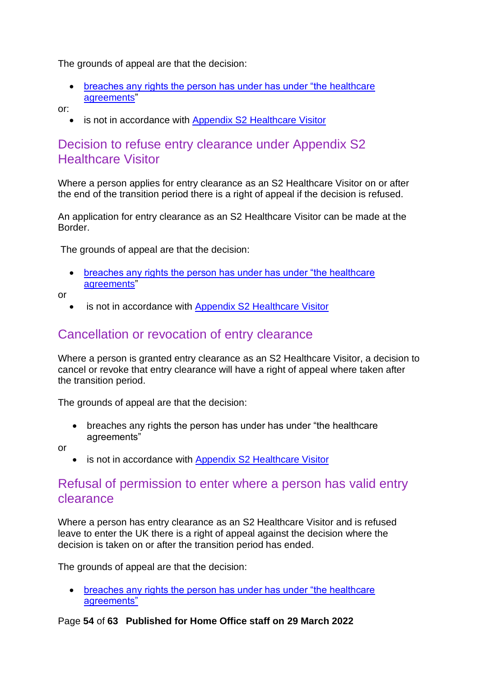The grounds of appeal are that the decision:

- breaches any rights the person has under has under "the healthcare" [agreements"](#page-52-0)
- or:
	- is not in accordance with [Appendix S2 Healthcare Visitor](https://www.gov.uk/guidance/immigration-rules/immigration-rules-appendix-s2-healthcare-visitor)

### <span id="page-53-0"></span>Decision to refuse entry clearance under Appendix S2 Healthcare Visitor

Where a person applies for entry clearance as an S2 Healthcare Visitor on or after the end of the transition period there is a right of appeal if the decision is refused.

An application for entry clearance as an S2 Healthcare Visitor can be made at the Border.

The grounds of appeal are that the decision:

• [breaches any rights the person has under has under "the healthcare](#page-52-0)  [agreements"](#page-52-0)

or

is not in accordance with [Appendix S2 Healthcare Visitor](https://www.gov.uk/guidance/immigration-rules/immigration-rules-appendix-s2-healthcare-visitor)

## <span id="page-53-1"></span>Cancellation or revocation of entry clearance

Where a person is granted entry clearance as an S2 Healthcare Visitor, a decision to cancel or revoke that entry clearance will have a right of appeal where taken after the transition period.

The grounds of appeal are that the decision:

• breaches any rights the person has under has under "the healthcare" agreements"

or

• is not in accordance with [Appendix S2 Healthcare Visitor](https://www.gov.uk/guidance/immigration-rules/immigration-rules-appendix-s2-healthcare-visitor)

### <span id="page-53-2"></span>Refusal of permission to enter where a person has valid entry clearance

Where a person has entry clearance as an S2 Healthcare Visitor and is refused leave to enter the UK there is a right of appeal against the decision where the decision is taken on or after the transition period has ended.

The grounds of appeal are that the decision:

• breaches any rights the person has under has under "the healthcare" [agreements"](#page-52-0)

#### Page **54** of **63 Published for Home Office staff on 29 March 2022**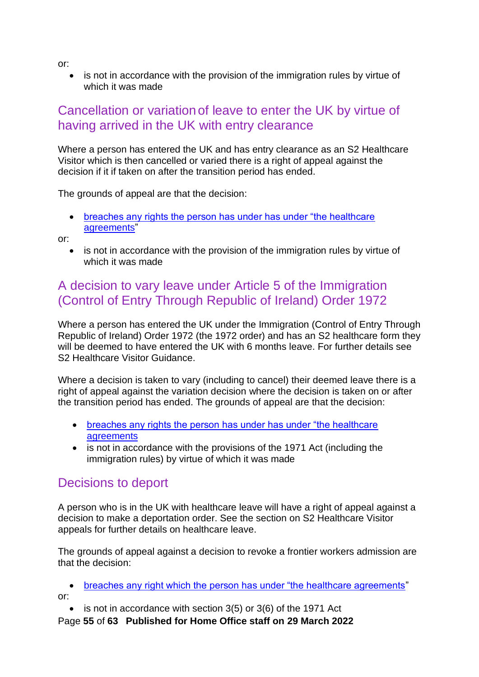or:

• is not in accordance with the provision of the immigration rules by virtue of which it was made

# <span id="page-54-0"></span>Cancellation or variationof leave to enter the UK by virtue of having arrived in the UK with entry clearance

Where a person has entered the UK and has entry clearance as an S2 Healthcare Visitor which is then cancelled or varied there is a right of appeal against the decision if it if taken on after the transition period has ended.

The grounds of appeal are that the decision:

• [breaches any rights the person has under has under "the healthcare](#page-52-0)  [agreements"](#page-52-0)

or:

• is not in accordance with the provision of the immigration rules by virtue of which it was made

# <span id="page-54-1"></span>A decision to vary leave under Article 5 of the Immigration (Control of Entry Through Republic of Ireland) Order 1972

Where a person has entered the UK under the Immigration (Control of Entry Through Republic of Ireland) Order 1972 (the 1972 order) and has an S2 healthcare form they will be deemed to have entered the UK with 6 months leave. For further details see S2 Healthcare Visitor Guidance.

Where a decision is taken to vary (including to cancel) their deemed leave there is a right of appeal against the variation decision where the decision is taken on or after the transition period has ended. The grounds of appeal are that the decision:

- breaches any rights the person has under has under "the healthcare" **[agreements](#page-52-0)**
- is not in accordance with the provisions of the 1971 Act (including the immigration rules) by virtue of which it was made

# <span id="page-54-2"></span>Decisions to deport

A person who is in the UK with healthcare leave will have a right of appeal against a decision to make a deportation order. See the section on S2 Healthcare Visitor appeals for further details on healthcare leave.

The grounds of appeal against a decision to revoke a frontier workers admission are that the decision:

• [breaches any right which the person has under "the healthcare agreements"](#page-52-0) or:

- is not in accordance with section 3(5) or 3(6) of the 1971 Act
- Page **55** of **63 Published for Home Office staff on 29 March 2022**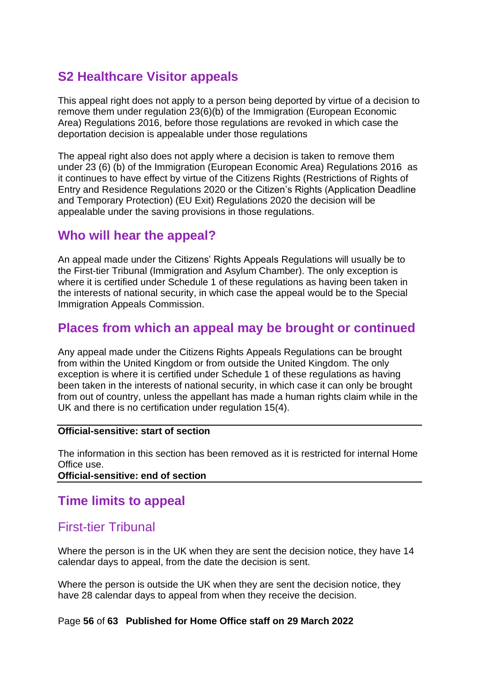# <span id="page-55-0"></span>**S2 Healthcare Visitor appeals**

This appeal right does not apply to a person being deported by virtue of a decision to remove them under regulation 23(6)(b) of the Immigration (European Economic Area) Regulations 2016, before those regulations are revoked in which case the deportation decision is appealable under those regulations

The appeal right also does not apply where a decision is taken to remove them under 23 (6) (b) of the Immigration (European Economic Area) Regulations 2016 as it continues to have effect by virtue of the Citizens Rights (Restrictions of Rights of Entry and Residence Regulations 2020 or the Citizen's Rights (Application Deadline and Temporary Protection) (EU Exit) Regulations 2020 the decision will be appealable under the saving provisions in those regulations.

## <span id="page-55-1"></span>**Who will hear the appeal?**

An appeal made under the Citizens' Rights Appeals Regulations will usually be to the First-tier Tribunal (Immigration and Asylum Chamber). The only exception is where it is certified under Schedule 1 of these regulations as having been taken in the interests of national security, in which case the appeal would be to the Special Immigration Appeals Commission.

# <span id="page-55-2"></span>**Places from which an appeal may be brought or continued**

Any appeal made under the Citizens Rights Appeals Regulations can be brought from within the United Kingdom or from outside the United Kingdom. The only exception is where it is certified under Schedule 1 of these regulations as having been taken in the interests of national security, in which case it can only be brought from out of country, unless the appellant has made a human rights claim while in the UK and there is no certification under regulation 15(4).

#### **Official-sensitive: start of section**

The information in this section has been removed as it is restricted for internal Home Office use.

**Official-sensitive: end of section** 

# <span id="page-55-3"></span>**Time limits to appeal**

# <span id="page-55-4"></span>First-tier Tribunal

Where the person is in the UK when they are sent the decision notice, they have 14 calendar days to appeal, from the date the decision is sent.

Where the person is outside the UK when they are sent the decision notice, they have 28 calendar days to appeal from when they receive the decision.

#### Page **56** of **63 Published for Home Office staff on 29 March 2022**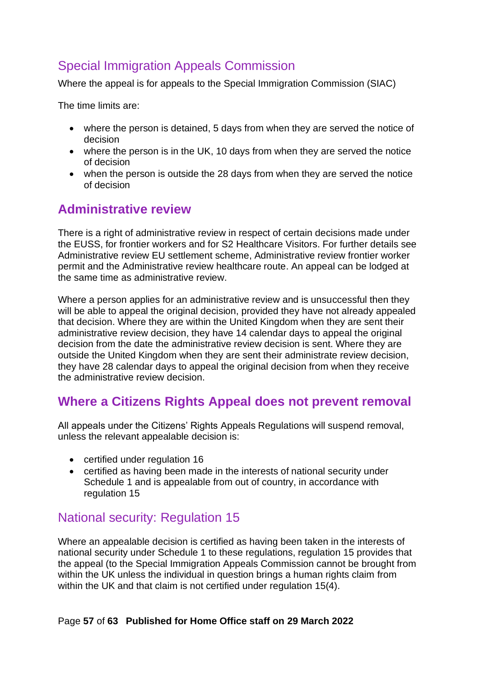# Special Immigration Appeals Commission

Where the appeal is for appeals to the Special Immigration Commission (SIAC)

The time limits are:

- where the person is detained, 5 days from when they are served the notice of decision
- where the person is in the UK, 10 days from when they are served the notice of decision
- when the person is outside the 28 days from when they are served the notice of decision

# <span id="page-56-0"></span>**Administrative review**

There is a right of administrative review in respect of certain decisions made under the EUSS, for frontier workers and for S2 Healthcare Visitors. For further details see Administrative review EU settlement scheme, Administrative review frontier worker permit and the Administrative review healthcare route. An appeal can be lodged at the same time as administrative review.

Where a person applies for an administrative review and is unsuccessful then they will be able to appeal the original decision, provided they have not already appealed that decision. Where they are within the United Kingdom when they are sent their administrative review decision, they have 14 calendar days to appeal the original decision from the date the administrative review decision is sent. Where they are outside the United Kingdom when they are sent their administrate review decision, they have 28 calendar days to appeal the original decision from when they receive the administrative review decision.

# <span id="page-56-1"></span>**Where a Citizens Rights Appeal does not prevent removal**

All appeals under the Citizens' Rights Appeals Regulations will suspend removal, unless the relevant appealable decision is:

- certified under regulation 16
- certified as having been made in the interests of national security under Schedule 1 and is appealable from out of country, in accordance with regulation 15

# <span id="page-56-2"></span>National security: Regulation 15

Where an appealable decision is certified as having been taken in the interests of national security under Schedule 1 to these regulations, regulation 15 provides that the appeal (to the Special Immigration Appeals Commission cannot be brought from within the UK unless the individual in question brings a human rights claim from within the UK and that claim is not certified under regulation 15(4).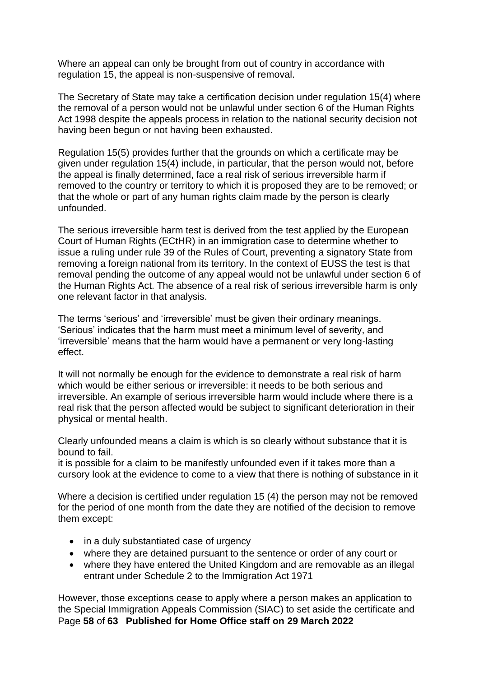Where an appeal can only be brought from out of country in accordance with regulation 15, the appeal is non-suspensive of removal.

The Secretary of State may take a certification decision under regulation 15(4) where the removal of a person would not be unlawful under section 6 of the Human Rights Act 1998 despite the appeals process in relation to the national security decision not having been begun or not having been exhausted.

Regulation 15(5) provides further that the grounds on which a certificate may be given under regulation 15(4) include, in particular, that the person would not, before the appeal is finally determined, face a real risk of serious irreversible harm if removed to the country or territory to which it is proposed they are to be removed; or that the whole or part of any human rights claim made by the person is clearly unfounded.

The serious irreversible harm test is derived from the test applied by the European Court of Human Rights (ECtHR) in an immigration case to determine whether to issue a ruling under rule 39 of the Rules of Court, preventing a signatory State from removing a foreign national from its territory. In the context of EUSS the test is that removal pending the outcome of any appeal would not be unlawful under section 6 of the Human Rights Act. The absence of a real risk of serious irreversible harm is only one relevant factor in that analysis.

The terms 'serious' and 'irreversible' must be given their ordinary meanings. 'Serious' indicates that the harm must meet a minimum level of severity, and 'irreversible' means that the harm would have a permanent or very long-lasting effect.

It will not normally be enough for the evidence to demonstrate a real risk of harm which would be either serious or irreversible: it needs to be both serious and irreversible. An example of serious irreversible harm would include where there is a real risk that the person affected would be subject to significant deterioration in their physical or mental health.

Clearly unfounded means a claim is which is so clearly without substance that it is bound to fail.

it is possible for a claim to be manifestly unfounded even if it takes more than a cursory look at the evidence to come to a view that there is nothing of substance in it

Where a decision is certified under regulation 15 (4) the person may not be removed for the period of one month from the date they are notified of the decision to remove them except:

- in a duly substantiated case of urgency
- where they are detained pursuant to the sentence or order of any court or
- where they have entered the United Kingdom and are removable as an illegal entrant under Schedule 2 to the Immigration Act 1971

Page **58** of **63 Published for Home Office staff on 29 March 2022** However, those exceptions cease to apply where a person makes an application to the Special Immigration Appeals Commission (SIAC) to set aside the certificate and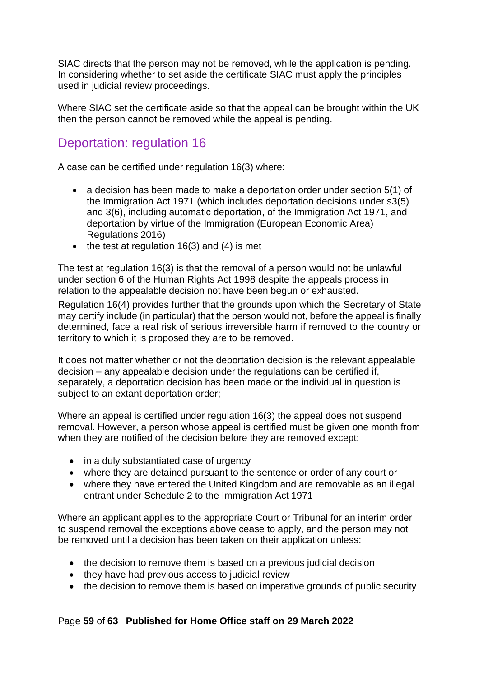SIAC directs that the person may not be removed, while the application is pending. In considering whether to set aside the certificate SIAC must apply the principles used in judicial review proceedings.

Where SIAC set the certificate aside so that the appeal can be brought within the UK then the person cannot be removed while the appeal is pending.

# <span id="page-58-0"></span>Deportation: regulation 16

A case can be certified under regulation 16(3) where:

- a decision has been made to make a deportation order under section 5(1) of the Immigration Act 1971 (which includes deportation decisions under s3(5) and 3(6), including automatic deportation, of the Immigration Act 1971, and deportation by virtue of the Immigration (European Economic Area) Regulations 2016)
- $\bullet$  the test at regulation 16(3) and (4) is met

The test at regulation 16(3) is that the removal of a person would not be unlawful under section 6 of the Human Rights Act 1998 despite the appeals process in relation to the appealable decision not have been begun or exhausted.

Regulation 16(4) provides further that the grounds upon which the Secretary of State may certify include (in particular) that the person would not, before the appeal is finally determined, face a real risk of serious irreversible harm if removed to the country or territory to which it is proposed they are to be removed.

It does not matter whether or not the deportation decision is the relevant appealable decision – any appealable decision under the regulations can be certified if, separately, a deportation decision has been made or the individual in question is subject to an extant deportation order;

Where an appeal is certified under regulation 16(3) the appeal does not suspend removal. However, a person whose appeal is certified must be given one month from when they are notified of the decision before they are removed except:

- in a duly substantiated case of urgency
- where they are detained pursuant to the sentence or order of any court or
- where they have entered the United Kingdom and are removable as an illegal entrant under Schedule 2 to the Immigration Act 1971

Where an applicant applies to the appropriate Court or Tribunal for an interim order to suspend removal the exceptions above cease to apply, and the person may not be removed until a decision has been taken on their application unless:

- the decision to remove them is based on a previous judicial decision
- they have had previous access to judicial review
- the decision to remove them is based on imperative grounds of public security

### Page **59** of **63 Published for Home Office staff on 29 March 2022**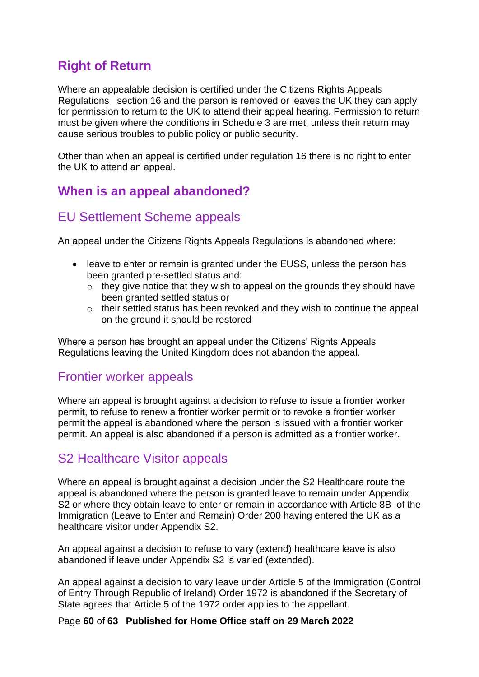# <span id="page-59-0"></span>**Right of Return**

Where an appealable decision is certified under the Citizens Rights Appeals Regulations section 16 and the person is removed or leaves the UK they can apply for permission to return to the UK to attend their appeal hearing. Permission to return must be given where the conditions in Schedule 3 are met, unless their return may cause serious troubles to public policy or public security.

Other than when an appeal is certified under regulation 16 there is no right to enter the UK to attend an appeal.

# <span id="page-59-1"></span>**When is an appeal abandoned?**

## <span id="page-59-2"></span>EU Settlement Scheme appeals

An appeal under the Citizens Rights Appeals Regulations is abandoned where:

- leave to enter or remain is granted under the EUSS, unless the person has been granted pre-settled status and:
	- $\circ$  they give notice that they wish to appeal on the grounds they should have been granted settled status or
	- o their settled status has been revoked and they wish to continue the appeal on the ground it should be restored

Where a person has brought an appeal under the Citizens' Rights Appeals Regulations leaving the United Kingdom does not abandon the appeal.

### <span id="page-59-3"></span>Frontier worker appeals

Where an appeal is brought against a decision to refuse to issue a frontier worker permit, to refuse to renew a frontier worker permit or to revoke a frontier worker permit the appeal is abandoned where the person is issued with a frontier worker permit. An appeal is also abandoned if a person is admitted as a frontier worker.

# <span id="page-59-4"></span>S2 Healthcare Visitor appeals

Where an appeal is brought against a decision under the S2 Healthcare route the appeal is abandoned where the person is granted leave to remain under Appendix S2 or where they obtain leave to enter or remain in accordance with Article 8B of the Immigration (Leave to Enter and Remain) Order 200 having entered the UK as a healthcare visitor under Appendix S2.

An appeal against a decision to refuse to vary (extend) healthcare leave is also abandoned if leave under Appendix S2 is varied (extended).

An appeal against a decision to vary leave under Article 5 of the Immigration (Control of Entry Through Republic of Ireland) Order 1972 is abandoned if the Secretary of State agrees that Article 5 of the 1972 order applies to the appellant.

Page **60** of **63 Published for Home Office staff on 29 March 2022**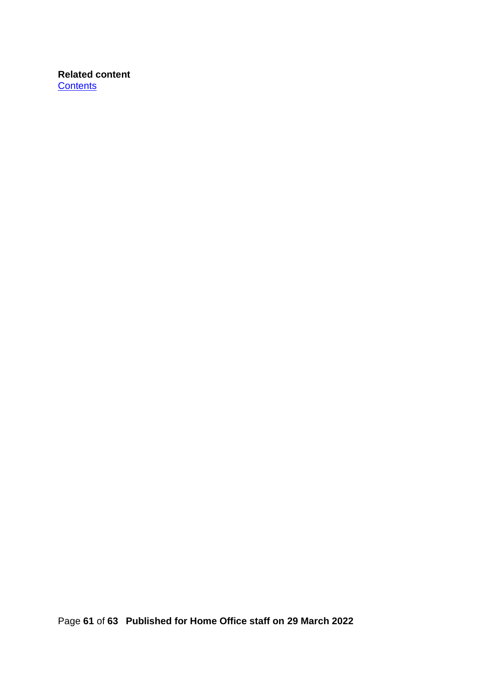**Related content [Contents](#page-1-0)**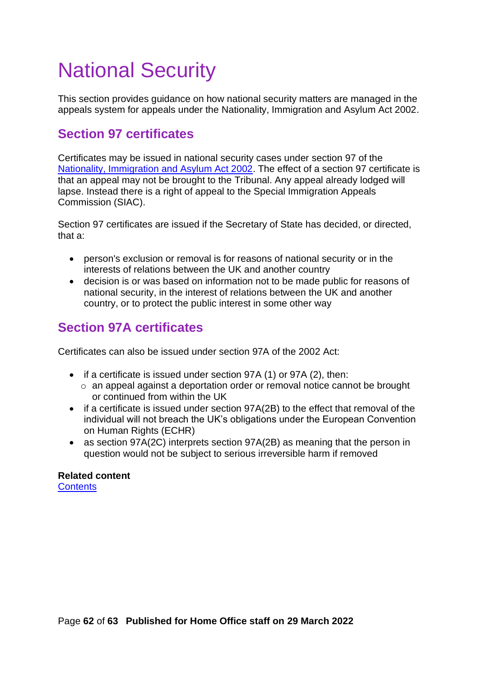# <span id="page-61-0"></span>National Security

This section provides guidance on how national security matters are managed in the appeals system for appeals under the Nationality, Immigration and Asylum Act 2002.

# <span id="page-61-1"></span>**Section 97 certificates**

Certificates may be issued in national security cases under section 97 of the [Nationality, Immigration and Asylum Act 2002.](http://www.legislation.gov.uk/ukpga/2002/41/section/97) The effect of a section 97 certificate is that an appeal may not be brought to the Tribunal. Any appeal already lodged will lapse. Instead there is a right of appeal to the Special Immigration Appeals Commission (SIAC).

Section 97 certificates are issued if the Secretary of State has decided, or directed, that a:

- person's exclusion or removal is for reasons of national security or in the interests of relations between the UK and another country
- decision is or was based on information not to be made public for reasons of national security, in the interest of relations between the UK and another country, or to protect the public interest in some other way

# <span id="page-61-2"></span>**Section 97A certificates**

Certificates can also be issued under section 97A of the 2002 Act:

- if a certificate is issued under section 97A (1) or 97A (2), then:
	- o an appeal against a deportation order or removal notice cannot be brought or continued from within the UK
- if a certificate is issued under section 97A(2B) to the effect that removal of the individual will not breach the UK's obligations under the European Convention on Human Rights (ECHR)
- as section 97A(2C) interprets section 97A(2B) as meaning that the person in question would not be subject to serious irreversible harm if removed

# **Related content**

**[Contents](#page-1-0)**